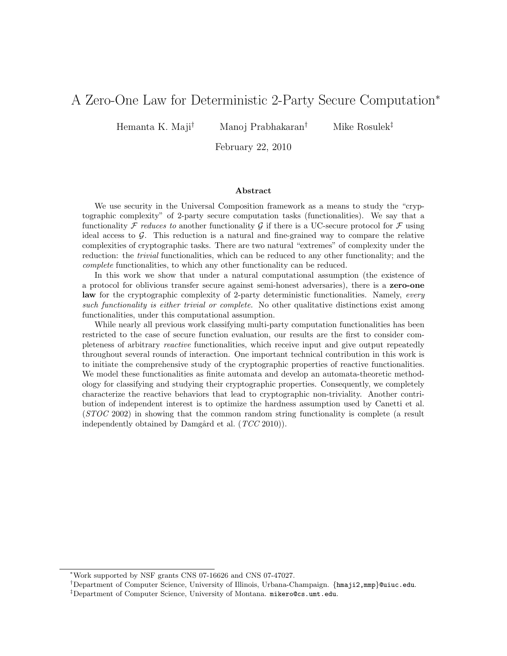# A Zero-One Law for Deterministic 2-Party Secure Computation<sup>∗</sup>

Hemanta K. Maji† Manoj Prabhakaran† Mike Rosulek‡

February 22, 2010

#### Abstract

We use security in the Universal Composition framework as a means to study the "cryptographic complexity" of 2-party secure computation tasks (functionalities). We say that a functionality  $\mathcal F$  reduces to another functionality  $\mathcal G$  if there is a UC-secure protocol for  $\mathcal F$  using ideal access to  $\mathcal G$ . This reduction is a natural and fine-grained way to compare the relative complexities of cryptographic tasks. There are two natural "extremes" of complexity under the reduction: the *trivial* functionalities, which can be reduced to any other functionality; and the complete functionalities, to which any other functionality can be reduced.

In this work we show that under a natural computational assumption (the existence of a protocol for oblivious transfer secure against semi-honest adversaries), there is a zero-one law for the cryptographic complexity of 2-party deterministic functionalities. Namely, every such functionality is either trivial or complete. No other qualitative distinctions exist among functionalities, under this computational assumption.

While nearly all previous work classifying multi-party computation functionalities has been restricted to the case of secure function evaluation, our results are the first to consider completeness of arbitrary reactive functionalities, which receive input and give output repeatedly throughout several rounds of interaction. One important technical contribution in this work is to initiate the comprehensive study of the cryptographic properties of reactive functionalities. We model these functionalities as finite automata and develop an automata-theoretic methodology for classifying and studying their cryptographic properties. Consequently, we completely characterize the reactive behaviors that lead to cryptographic non-triviality. Another contribution of independent interest is to optimize the hardness assumption used by Canetti et al. (STOC 2002) in showing that the common random string functionality is complete (a result independently obtained by Damgård et al.  $(TCC 2010)$ .

<sup>∗</sup>Work supported by NSF grants CNS 07-16626 and CNS 07-47027.

<sup>†</sup>Department of Computer Science, University of Illinois, Urbana-Champaign. {hmaji2,mmp}@uiuc.edu.

<sup>‡</sup>Department of Computer Science, University of Montana. mikero@cs.umt.edu.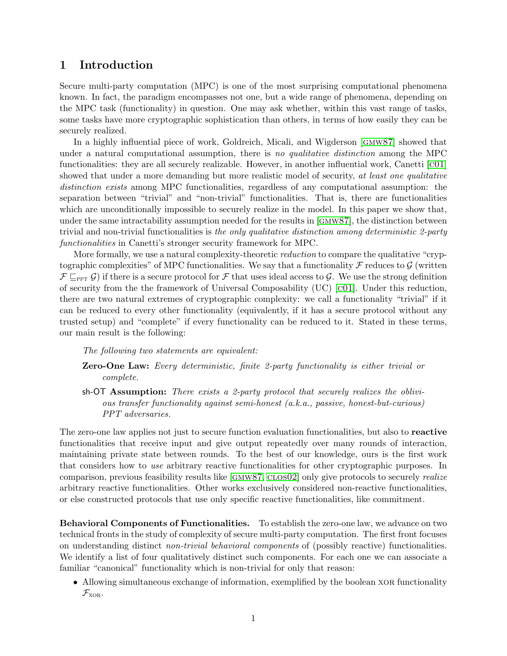# 1 Introduction

Secure multi-party computation (MPC) is one of the most surprising computational phenomena known. In fact, the paradigm encompasses not one, but a wide range of phenomena, depending on the MPC task (functionality) in question. One may ask whether, within this vast range of tasks, some tasks have more cryptographic sophistication than others, in terms of how easily they can be securely realized.

In a highly influential piece of work, Goldreich, Micali, and Wigderson [[gmw87](#page-14-0)] showed that under a natural computational assumption, there is no qualitative distinction among the MPC functionalities: they are all securely realizable. However, in another influential work, Canetti [[c01](#page-13-0)] showed that under a more demanding but more realistic model of security, at least one qualitative distinction exists among MPC functionalities, regardless of any computational assumption: the separation between "trivial" and "non-trivial" functionalities. That is, there are functionalities which are unconditionally impossible to securely realize in the model. In this paper we show that, under the same intractability assumption needed for the results in [[gmw87](#page-14-0)], the distinction between trivial and non-trivial functionalities is the only qualitative distinction among deterministic 2-party functionalities in Canetti's stronger security framework for MPC.

More formally, we use a natural complexity-theoretic reduction to compare the qualitative "cryptographic complexities" of MPC functionalities. We say that a functionality  $\mathcal F$  reduces to  $\mathcal G$  (written  $\mathcal{F} \sqsubseteq_{\text{PPT}} \mathcal{G}$ ) if there is a secure protocol for  $\mathcal{F}$  that uses ideal access to  $\mathcal{G}$ . We use the strong definition of security from the the framework of Universal Composability (UC) [[c01](#page-13-0)]. Under this reduction, there are two natural extremes of cryptographic complexity: we call a functionality "trivial" if it can be reduced to every other functionality (equivalently, if it has a secure protocol without any trusted setup) and "complete" if every functionality can be reduced to it. Stated in these terms, our main result is the following:

The following two statements are equivalent:

- **Zero-One Law:** Every deterministic, finite 2-party functionality is either trivial or complete.
- sh-OT Assumption: There exists a 2-party protocol that securely realizes the oblivious transfer functionality against semi-honest (a.k.a., passive, honest-but-curious) PPT adversaries.

The zero-one law applies not just to secure function evaluation functionalities, but also to reactive functionalities that receive input and give output repeatedly over many rounds of interaction, maintaining private state between rounds. To the best of our knowledge, ours is the first work that considers how to use arbitrary reactive functionalities for other cryptographic purposes. In comparison, previous feasibility results like [GMW87, CLOS02] only give protocols to securely *realize* arbitrary reactive functionalities. Other works exclusively considered non-reactive functionalities, or else constructed protocols that use only specific reactive functionalities, like commitment.

Behavioral Components of Functionalities. To establish the zero-one law, we advance on two technical fronts in the study of complexity of secure multi-party computation. The first front focuses on understanding distinct non-trivial behavioral components of (possibly reactive) functionalities. We identify a list of four qualitatively distinct such components. For each one we can associate a familiar "canonical" functionality which is non-trivial for only that reason:

• Allowing simultaneous exchange of information, exemplified by the boolean XOR functionality  $\mathcal{F}_{XOR}$ .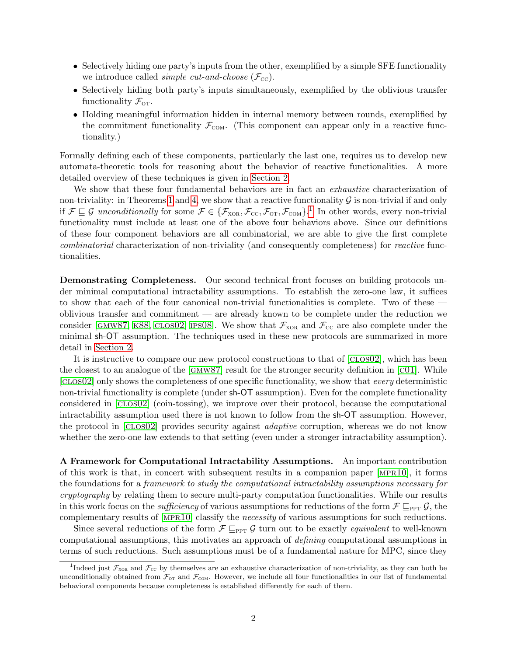- Selectively hiding one party's inputs from the other, exemplified by a simple SFE functionality we introduce called *simple cut-and-choose*  $(\mathcal{F}_{cc})$ .
- Selectively hiding both party's inputs simultaneously, exemplified by the oblivious transfer functionality  $\mathcal{F}_{\text{OT}}$ .
- Holding meaningful information hidden in internal memory between rounds, exemplified by the commitment functionality  $\mathcal{F}_{COM}$ . (This component can appear only in a reactive functionality.)

Formally defining each of these components, particularly the last one, requires us to develop new automata-theoretic tools for reasoning about the behavior of reactive functionalities. A more detailed overview of these techniques is given in [Section 2.](#page-3-0)

We show that these four fundamental behaviors are in fact an *exhaustive* characterization of non-triviality: in Theorems [1](#page-7-0) and [4,](#page-10-0) we show that a reactive functionality  $\mathcal G$  is non-trivial if and only if  $\mathcal{F} \sqsubseteq \mathcal{G}$  unconditionally for some  $\mathcal{F} \in {\{\mathcal{F}_{XOR}, \mathcal{F}_{CC}, \mathcal{F}_{OT}, \mathcal{F}_{COM}\}}$ <sup>[1](#page-2-0)</sup>. In other words, every non-trivial functionality must include at least one of the above four behaviors above. Since our definitions of these four component behaviors are all combinatorial, we are able to give the first complete combinatorial characterization of non-triviality (and consequently completeness) for reactive functionalities.

Demonstrating Completeness. Our second technical front focuses on building protocols under minimal computational intractability assumptions. To establish the zero-one law, it suffices to show that each of the four canonical non-trivial functionalities is complete. Two of these oblivious transfer and commitment — are already known to be complete under the reduction we consider [GMW87, K88, CLOS02, IPS08]. We show that  $\mathcal{F}_{XOR}$  and  $\mathcal{F}_{CC}$  are also complete under the minimal sh-OT assumption. The techniques used in these new protocols are summarized in more detail in [Section 2.](#page-3-0)

It is instructive to compare our new protocol constructions to that of [CLOSO2], which has been the closest to an analogue of the [[gmw87](#page-14-0)] result for the stronger security definition in [[c01](#page-13-0)]. While [[clos02](#page-13-1)] only shows the completeness of one specific functionality, we show that every deterministic non-trivial functionality is complete (under sh-OT assumption). Even for the complete functionality considered in [[clos02](#page-13-1)] (coin-tossing), we improve over their protocol, because the computational intractability assumption used there is not known to follow from the sh-OT assumption. However, the protocol in [[clos02](#page-13-1)] provides security against adaptive corruption, whereas we do not know whether the zero-one law extends to that setting (even under a stronger intractability assumption).

A Framework for Computational Intractability Assumptions. An important contribution of this work is that, in concert with subsequent results in a companion paper [[mpr10](#page-15-0)], it forms the foundations for a framework to study the computational intractability assumptions necessary for cryptography by relating them to secure multi-party computation functionalities. While our results in this work focus on the *sufficiency* of various assumptions for reductions of the form  $\mathcal{F} \sqsubseteq_{\text{PPT}} \mathcal{G}$ , the complementary results of [[mpr10](#page-15-0)] classify the necessity of various assumptions for such reductions.

Since several reductions of the form  $\mathcal{F} \subseteq_{\text{PPT}} \mathcal{G}$  turn out to be exactly *equivalent* to well-known computational assumptions, this motivates an approach of defining computational assumptions in terms of such reductions. Such assumptions must be of a fundamental nature for MPC, since they

<span id="page-2-0"></span><sup>&</sup>lt;sup>1</sup>Indeed just  $\mathcal{F}_{XOR}$  and  $\mathcal{F}_{CC}$  by themselves are an exhaustive characterization of non-triviality, as they can both be unconditionally obtained from  $\mathcal{F}_{\text{or}}$  and  $\mathcal{F}_{\text{con}}$ . However, we include all four functionalities in our list of fundamental behavioral components because completeness is established differently for each of them.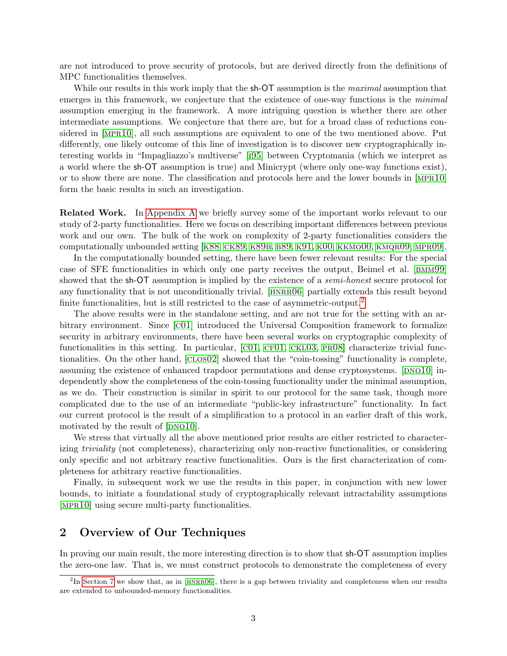are not introduced to prove security of protocols, but are derived directly from the definitions of MPC functionalities themselves.

While our results in this work imply that the sh-OT assumption is the *maximal* assumption that emerges in this framework, we conjecture that the existence of one-way functions is the *minimal* assumption emerging in the framework. A more intriguing question is whether there are other intermediate assumptions. We conjecture that there are, but for a broad class of reductions considered in [[mpr10](#page-15-0)], all such assumptions are equivalent to one of the two mentioned above. Put differently, one likely outcome of this line of investigation is to discover new cryptographically interesting worlds in "Impagliazzo's multiverse" [[i95](#page-14-3)] between Cryptomania (which we interpret as a world where the sh-OT assumption is true) and Minicrypt (where only one-way functions exist), or to show there are none. The classification and protocols here and the lower bounds in [[mpr10](#page-15-0)] form the basic results in such an investigation.

Related Work. In [Appendix A](#page-15-1) we briefly survey some of the important works relevant to our study of 2-party functionalities. Here we focus on describing important differences between previous work and our own. The bulk of the work on complexity of 2-party functionalities considers the computationally unbounded setting  $K88$ , CK89, K89B, B89, K91, K00, KKMO00, KMQR09, MPR09.

In the computationally bounded setting, there have been fewer relevant results: For the special case of SFE functionalities in which only one party receives the output, Beimel et al. [[bmm99](#page-13-4)] showed that the sh-OT assumption is implied by the existence of a *semi-honest* secure protocol for any functionality that is not unconditionally trivial. [HNRRO6] partially extends this result beyond finite functionalities, but is still restricted to the case of asymmetric-output.<sup>[2](#page-3-1)</sup>

The above results were in the standalone setting, and are not true for the setting with an arbitrary environment. Since [[c01](#page-13-0)] introduced the Universal Composition framework to formalize security in arbitrary environments, there have been several works on cryptographic complexity of functionalities in this setting. In particular,  $[CO1, CF01, CKL03, PR08]$  characterize trivial functionalities. On the other hand, [[clos02](#page-13-1)] showed that the "coin-tossing" functionality is complete, assuming the existence of enhanced trapdoor permutations and dense cryptosystems. [DNO10] independently show the completeness of the coin-tossing functionality under the minimal assumption, as we do. Their construction is similar in spirit to our protocol for the same task, though more complicated due to the use of an intermediate "public-key infrastructure" functionality. In fact our current protocol is the result of a simplification to a protocol in an earlier draft of this work, motivated by the result of  $|DNO10|$ .

We stress that virtually all the above mentioned prior results are either restricted to characterizing triviality (not completeness), characterizing only non-reactive functionalities, or considering only specific and not arbitrary reactive functionalities. Ours is the first characterization of completeness for arbitrary reactive functionalities.

Finally, in subsequent work we use the results in this paper, in conjunction with new lower bounds, to initiate a foundational study of cryptographically relevant intractability assumptions [[mpr10](#page-15-0)] using secure multi-party functionalities.

# <span id="page-3-0"></span>2 Overview of Our Techniques

In proving our main result, the more interesting direction is to show that sh-OT assumption implies the zero-one law. That is, we must construct protocols to demonstrate the completeness of every

<span id="page-3-1"></span> ${}^{2}$ In [Section 7](#page-11-0) we show that, as in [HNRRO6], there is a gap between triviality and completeness when our results are extended to unbounded-memory functionalities.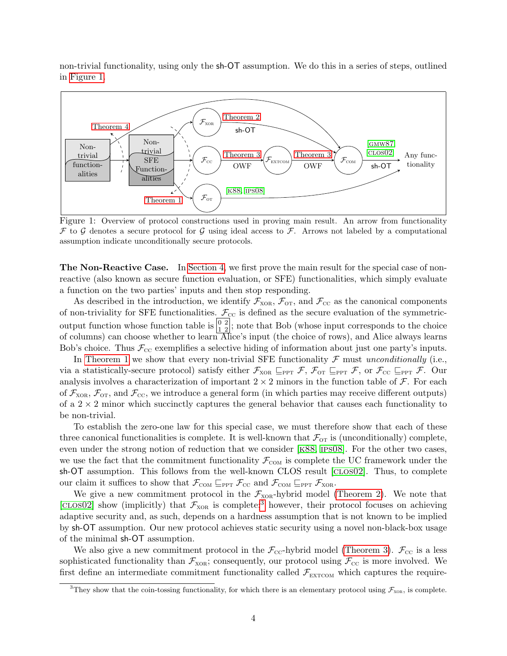non-trivial functionality, using only the sh-OT assumption. We do this in a series of steps, outlined in [Figure 1.](#page-4-0)



<span id="page-4-0"></span>Figure 1: Overview of protocol constructions used in proving main result. An arrow from functionality F to G denotes a secure protocol for G using ideal access to F. Arrows not labeled by a computational assumption indicate unconditionally secure protocols.

The Non-Reactive Case. In [Section 4,](#page-6-0) we first prove the main result for the special case of nonreactive (also known as secure function evaluation, or SFE) functionalities, which simply evaluate a function on the two parties' inputs and then stop responding.

As described in the introduction, we identify  $\mathcal{F}_{XOR}$ ,  $\mathcal{F}_{OT}$ , and  $\mathcal{F}_{CC}$  as the canonical components of non-triviality for SFE functionalities.  $\mathcal{F}_{\text{CC}}$  is defined as the secure evaluation of the symmetricoutput function whose function table is  $\left[\frac{0}{12}\right]$ ; note that Bob (whose input corresponds to the choice of columns) can choose whether to learn Alice's input (the choice of rows), and Alice always learns Bob's choice. Thus  $\mathcal{F}_{\text{CC}}$  exemplifies a selective hiding of information about just one party's inputs.

In [Theorem 1](#page-7-0) we show that every non-trivial SFE functionality  $\mathcal F$  must unconditionally (i.e., via a statistically-secure protocol) satisfy either  $\mathcal{F}_{XOR} \subseteq_{PPT} \mathcal{F}$ ,  $\mathcal{F}_{OT} \subseteq_{PPT} \mathcal{F}$ , or  $\mathcal{F}_{CC} \subseteq_{PPT} \mathcal{F}$ . Our analysis involves a characterization of important  $2 \times 2$  minors in the function table of  $\mathcal{F}$ . For each of  $\mathcal{F}_{XOR}$ ,  $\mathcal{F}_{OT}$ , and  $\mathcal{F}_{CC}$ , we introduce a general form (in which parties may receive different outputs) of a  $2 \times 2$  minor which succinctly captures the general behavior that causes each functionality to be non-trivial.

To establish the zero-one law for this special case, we must therefore show that each of these three canonical functionalities is complete. It is well-known that  $\mathcal{F}_{\text{or}}$  is (unconditionally) complete, even under the strong notion of reduction that we consider [[k88](#page-14-1), [ips08](#page-14-2)]. For the other two cases, we use the fact that the commitment functionality  $\mathcal{F}_{COM}$  is complete the UC framework under the sh-OT assumption. This follows from the well-known CLOS result [CLOS02]. Thus, to complete our claim it suffices to show that  $\mathcal{F}_{COM} \sqsubseteq_{PPT} \mathcal{F}_{CC}$  and  $\mathcal{F}_{COM} \sqsubseteq_{PPT} \mathcal{F}_{XOR}$ .

We give a new commitment protocol in the  $\mathcal{F}_{XOR}$ -hybrid model [\(Theorem 2\)](#page-7-1). We note that [CLOS02] show (implicitly) that  $\mathcal{F}_{XOR}$  is complete;<sup>[3](#page-4-1)</sup> however, their protocol focuses on achieving adaptive security and, as such, depends on a hardness assumption that is not known to be implied by sh-OT assumption. Our new protocol achieves static security using a novel non-black-box usage of the minimal sh-OT assumption.

We also give a new commitment protocol in the  $\mathcal{F}_{\text{cc}}$ -hybrid model [\(Theorem 3\)](#page-8-0).  $\mathcal{F}_{\text{cc}}$  is a less sophisticated functionality than  $\mathcal{F}_{XOR}$ ; consequently, our protocol using  $\mathcal{F}_{CC}$  is more involved. We first define an intermediate commitment functionality called  $\mathcal{F}_{\text{EXTCOM}}$  which captures the require-

<span id="page-4-1"></span><sup>&</sup>lt;sup>3</sup>They show that the coin-tossing functionality, for which there is an elementary protocol using  $\mathcal{F}_{XOR}$ , is complete.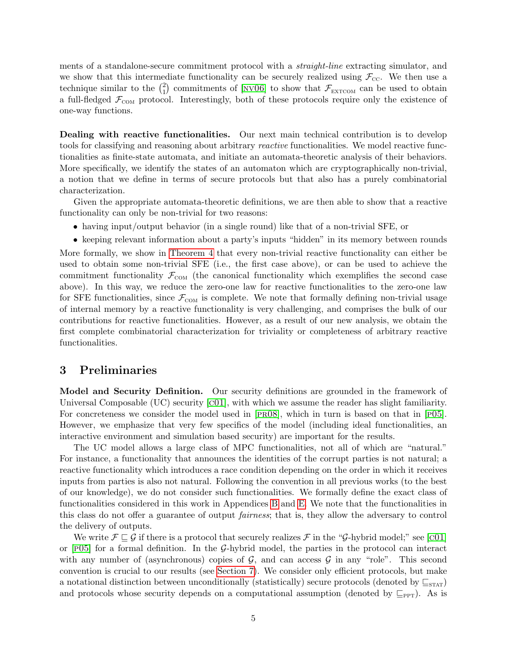ments of a standalone-secure commitment protocol with a *straight-line* extracting simulator, and we show that this intermediate functionality can be securely realized using  $\mathcal{F}_{\text{cc}}$ . We then use a technique similar to the  $\binom{2}{1}$  $\binom{2}{1}$  commitments of [NV06] to show that  $\mathcal{F}_{\text{EXTCOM}}$  can be used to obtain a full-fledged  $\mathcal{F}_{COM}$  protocol. Interestingly, both of these protocols require only the existence of one-way functions.

Dealing with reactive functionalities. Our next main technical contribution is to develop tools for classifying and reasoning about arbitrary *reactive* functionalities. We model reactive functionalities as finite-state automata, and initiate an automata-theoretic analysis of their behaviors. More specifically, we identify the states of an automaton which are cryptographically non-trivial, a notion that we define in terms of secure protocols but that also has a purely combinatorial characterization.

Given the appropriate automata-theoretic definitions, we are then able to show that a reactive functionality can only be non-trivial for two reasons:

- having input/output behavior (in a single round) like that of a non-trivial SFE, or
- keeping relevant information about a party's inputs "hidden" in its memory between rounds

More formally, we show in [Theorem 4](#page-10-0) that every non-trivial reactive functionality can either be used to obtain some non-trivial SFE (i.e., the first case above), or can be used to achieve the commitment functionality  $\mathcal{F}_{COM}$  (the canonical functionality which exemplifies the second case above). In this way, we reduce the zero-one law for reactive functionalities to the zero-one law for SFE functionalities, since  $\mathcal{F}_{COM}$  is complete. We note that formally defining non-trivial usage of internal memory by a reactive functionality is very challenging, and comprises the bulk of our contributions for reactive functionalities. However, as a result of our new analysis, we obtain the first complete combinatorial characterization for triviality or completeness of arbitrary reactive functionalities.

### 3 Preliminaries

Model and Security Definition. Our security definitions are grounded in the framework of Universal Composable (UC) security [[c01](#page-13-0)], with which we assume the reader has slight familiarity. For concreteness we consider the model used in  $[PR08]$ , which in turn is based on that in  $[PO5]$ . However, we emphasize that very few specifics of the model (including ideal functionalities, an interactive environment and simulation based security) are important for the results.

The UC model allows a large class of MPC functionalities, not all of which are "natural." For instance, a functionality that announces the identities of the corrupt parties is not natural; a reactive functionality which introduces a race condition depending on the order in which it receives inputs from parties is also not natural. Following the convention in all previous works (to the best of our knowledge), we do not consider such functionalities. We formally define the exact class of functionalities considered in this work in Appendices [B](#page-17-0) and [E.](#page-30-0) We note that the functionalities in this class do not offer a guarantee of output fairness; that is, they allow the adversary to control the delivery of outputs.

We write  $\mathcal{F} \sqsubseteq \mathcal{G}$  if there is a protocol that securely realizes  $\mathcal{F}$  in the " $\mathcal{G}$ -hybrid model;" see [C01] or  $[P05]$  for a formal definition. In the G-hybrid model, the parties in the protocol can interact with any number of (asynchronous) copies of  $G$ , and can access  $G$  in any "role". This second convention is crucial to our results (see [Section 7\)](#page-11-0). We consider only efficient protocols, but make a notational distinction between unconditionally (statistically) secure protocols (denoted by  $\subseteq$ <sub>STAT</sub>) and protocols whose security depends on a computational assumption (denoted by  $\subseteq_{\text{PPT}}$ ). As is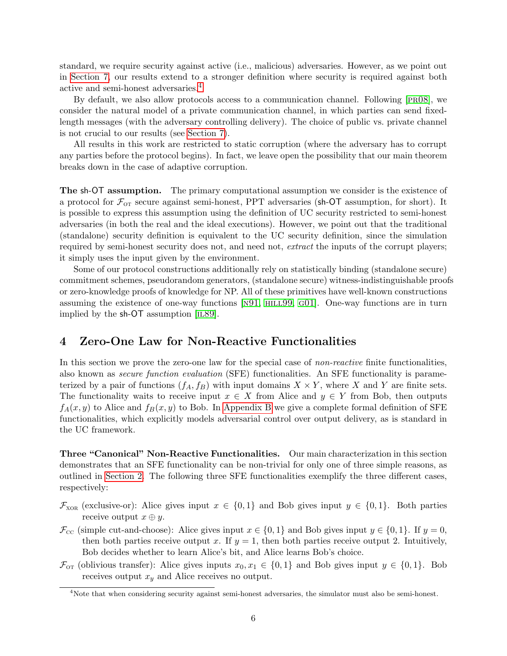standard, we require security against active (i.e., malicious) adversaries. However, as we point out in [Section 7,](#page-11-0) our results extend to a stronger definition where security is required against both active and semi-honest adversaries.[4](#page-6-1)

By default, we also allow protocols access to a communication channel. Following [[pr08](#page-15-4)], we consider the natural model of a private communication channel, in which parties can send fixedlength messages (with the adversary controlling delivery). The choice of public vs. private channel is not crucial to our results (see [Section 7\)](#page-11-0).

All results in this work are restricted to static corruption (where the adversary has to corrupt any parties before the protocol begins). In fact, we leave open the possibility that our main theorem breaks down in the case of adaptive corruption.

The sh-OT assumption. The primary computational assumption we consider is the existence of a protocol for  $\mathcal{F}_{\text{OT}}$  secure against semi-honest, PPT adversaries (sh-OT assumption, for short). It is possible to express this assumption using the definition of UC security restricted to semi-honest adversaries (in both the real and the ideal executions). However, we point out that the traditional (standalone) security definition is equivalent to the UC security definition, since the simulation required by semi-honest security does not, and need not, extract the inputs of the corrupt players; it simply uses the input given by the environment.

Some of our protocol constructions additionally rely on statistically binding (standalone secure) commitment schemes, pseudorandom generators, (standalone secure) witness-indistinguishable proofs or zero-knowledge proofs of knowledge for NP. All of these primitives have well-known constructions assuming the existence of one-way functions [[n91](#page-15-7), [hill99](#page-14-9), [g01](#page-13-8)]. One-way functions are in turn implied by the sh-OT assumption [IL89].

# <span id="page-6-0"></span>4 Zero-One Law for Non-Reactive Functionalities

In this section we prove the zero-one law for the special case of *non-reactive* finite functionalities, also known as secure function evaluation (SFE) functionalities. An SFE functionality is parameterized by a pair of functions  $(f_A, f_B)$  with input domains  $X \times Y$ , where X and Y are finite sets. The functionality waits to receive input  $x \in X$  from Alice and  $y \in Y$  from Bob, then outputs  $f_A(x, y)$  to Alice and  $f_B(x, y)$  to Bob. In [Appendix B](#page-17-0) we give a complete formal definition of SFE functionalities, which explicitly models adversarial control over output delivery, as is standard in the UC framework.

Three "Canonical" Non-Reactive Functionalities. Our main characterization in this section demonstrates that an SFE functionality can be non-trivial for only one of three simple reasons, as outlined in [Section 2.](#page-3-0) The following three SFE functionalities exemplify the three different cases, respectively:

- $\mathcal{F}_{XOR}$  (exclusive-or): Alice gives input  $x \in \{0,1\}$  and Bob gives input  $y \in \{0,1\}$ . Both parties receive output  $x \oplus y$ .
- $\mathcal{F}_{\text{CC}}$  (simple cut-and-choose): Alice gives input  $x \in \{0,1\}$  and Bob gives input  $y \in \{0,1\}$ . If  $y=0$ , then both parties receive output x. If  $y = 1$ , then both parties receive output 2. Intuitively, Bob decides whether to learn Alice's bit, and Alice learns Bob's choice.
- $\mathcal{F}_{\text{OT}}$  (oblivious transfer): Alice gives inputs  $x_0, x_1 \in \{0, 1\}$  and Bob gives input  $y \in \{0, 1\}$ . Bob receives output  $x_y$  and Alice receives no output.

<span id="page-6-1"></span><sup>4</sup>Note that when considering security against semi-honest adversaries, the simulator must also be semi-honest.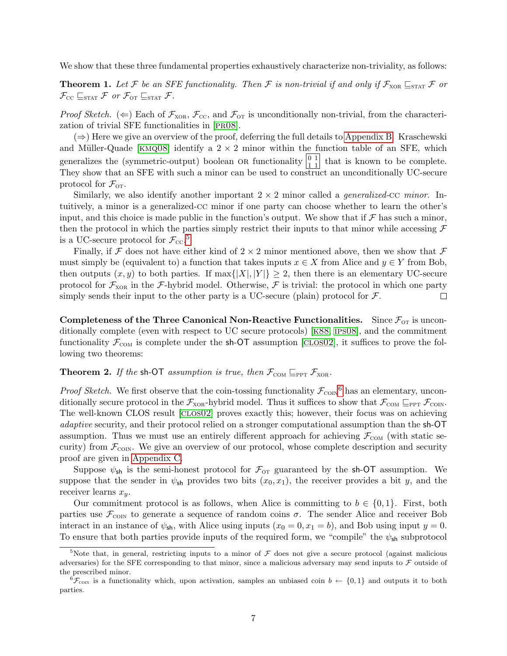<span id="page-7-0"></span>We show that these three fundamental properties exhaustively characterize non-triviality, as follows:

**Theorem 1.** Let F be an SFE functionality. Then F is non-trivial if and only if  $\mathcal{F}_{XOR} \sqsubseteq_{\text{STAT}} \mathcal{F}$  or  $\mathcal{F}_{\text{CC}} \sqsubseteq_{\text{STAT}} \mathcal{F}$  or  $\mathcal{F}_{\text{OT}} \sqsubseteq_{\text{STAT}} \mathcal{F}$ .

*Proof Sketch.* ( $\Leftarrow$ ) Each of  $\mathcal{F}_{XOR}$ ,  $\mathcal{F}_{CC}$ , and  $\mathcal{F}_{OT}$  is unconditionally non-trivial, from the characterization of trivial SFE functionalities in [[pr08](#page-15-4)].

 $(\Rightarrow)$  Here we give an overview of the proof, deferring the full details to [Appendix B.](#page-17-0) Kraschewski and Müller-Quade [KMQ08] identify a  $2 \times 2$  minor within the function table of an SFE, which generalizes the (symmetric-output) boolean OR functionality  $\begin{bmatrix} 0 & 1 \\ 1 & 1 \end{bmatrix}$  that is known to be complete. They show that an SFE with such a minor can be used to construct an unconditionally UC-secure protocol for  $\mathcal{F}_{\text{OT}}$ .

Similarly, we also identify another important  $2 \times 2$  minor called a *generalized*-cc *minor*. Intuitively, a minor is a generalized-cc minor if one party can choose whether to learn the other's input, and this choice is made public in the function's output. We show that if  $\mathcal F$  has such a minor, then the protocol in which the parties simply restrict their inputs to that minor while accessing  $\mathcal F$ is a UC-secure protocol for  $\mathcal{F}_{\text{cc}}$ .<sup>[5](#page-7-2)</sup>

Finally, if F does not have either kind of  $2 \times 2$  minor mentioned above, then we show that F must simply be (equivalent to) a function that takes inputs  $x \in X$  from Alice and  $y \in Y$  from Bob, then outputs  $(x, y)$  to both parties. If max $\{|X|, |Y|\} \geq 2$ , then there is an elementary UC-secure protocol for  $\mathcal{F}_{XOR}$  in the F-hybrid model. Otherwise, F is trivial: the protocol in which one party simply sends their input to the other party is a UC-secure (plain) protocol for  $\mathcal{F}$ .  $\Box$ 

Completeness of the Three Canonical Non-Reactive Functionalities. Since  $\mathcal{F}_{\text{OT}}$  is unconditionally complete (even with respect to UC secure protocols) [[k88](#page-14-1), [ips08](#page-14-2)], and the commitment functionality  $\mathcal{F}_{COM}$  is complete under the sh-OT assumption [CLOSO2], it suffices to prove the following two theorems:

### <span id="page-7-1"></span>**Theorem 2.** If the sh-OT assumption is true, then  $\mathcal{F}_{COM} \subseteq_{PPT} \mathcal{F}_{XOR}$ .

*Proof Sketch.* We first observe that the coin-tossing functionality  $\mathcal{F}_{COM}$ <sup>[6](#page-7-3)</sup> has an elementary, unconditionally secure protocol in the  $\mathcal{F}_{XOR}$ -hybrid model. Thus it suffices to show that  $\mathcal{F}_{COM} \subseteq_{PPT} \mathcal{F}_{COM}$ . The well-known CLOS result [[clos02](#page-13-1)] proves exactly this; however, their focus was on achieving adaptive security, and their protocol relied on a stronger computational assumption than the sh-OT assumption. Thus we must use an entirely different approach for achieving  $\mathcal{F}_{COM}$  (with static security) from  $\mathcal{F}_{\text{conv}}$ . We give an overview of our protocol, whose complete description and security proof are given in [Appendix C.](#page-21-0)

Suppose  $\psi_{\rm sh}$  is the semi-honest protocol for  $\mathcal{F}_{\rm OT}$  guaranteed by the sh-OT assumption. We suppose that the sender in  $\psi_{\text{sh}}$  provides two bits  $(x_0, x_1)$ , the receiver provides a bit y, and the receiver learns  $x_y$ .

Our commitment protocol is as follows, when Alice is committing to  $b \in \{0,1\}$ . First, both parties use  $\mathcal{F}_{COM}$  to generate a sequence of random coins  $\sigma$ . The sender Alice and receiver Bob interact in an instance of  $\psi_{\rm sh}$ , with Alice using inputs  $(x_0 = 0, x_1 = b)$ , and Bob using input  $y = 0$ . To ensure that both parties provide inputs of the required form, we "compile" the  $\psi_{sh}$  subprotocol

<span id="page-7-2"></span><sup>&</sup>lt;sup>5</sup>Note that, in general, restricting inputs to a minor of  $\mathcal F$  does not give a secure protocol (against malicious adversaries) for the SFE corresponding to that minor, since a malicious adversary may send inputs to  $\mathcal F$  outside of the prescribed minor.

<span id="page-7-3"></span> ${}^6\mathcal{F}_{\text{CON}}$  is a functionality which, upon activation, samples an unbiased coin  $b \leftarrow \{0,1\}$  and outputs it to both parties.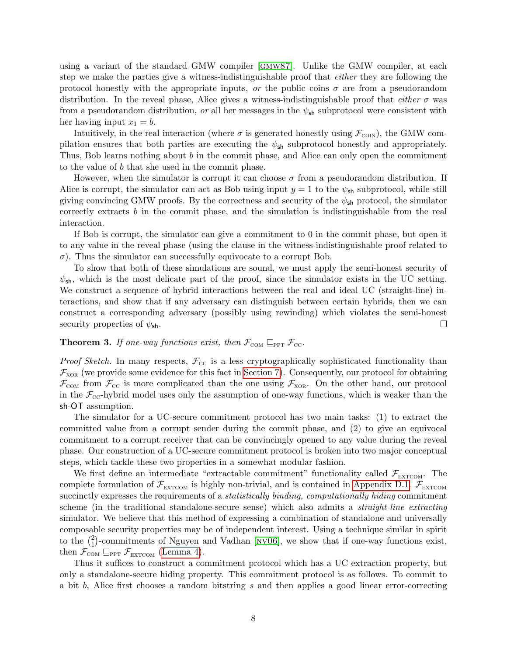using a variant of the standard GMW compiler [[gmw87](#page-14-0)]. Unlike the GMW compiler, at each step we make the parties give a witness-indistinguishable proof that *either* they are following the protocol honestly with the appropriate inputs, or the public coins  $\sigma$  are from a pseudorandom distribution. In the reveal phase, Alice gives a witness-indistinguishable proof that *either*  $\sigma$  was from a pseudorandom distribution, or all her messages in the  $\psi_{sh}$  subprotocol were consistent with her having input  $x_1 = b$ .

Intuitively, in the real interaction (where  $\sigma$  is generated honestly using  $\mathcal{F}_{\text{CON}}$ ), the GMW compilation ensures that both parties are executing the  $\psi_{sh}$  subprotocol honestly and appropriately. Thus, Bob learns nothing about b in the commit phase, and Alice can only open the commitment to the value of b that she used in the commit phase.

However, when the simulator is corrupt it can choose  $\sigma$  from a pseudorandom distribution. If Alice is corrupt, the simulator can act as Bob using input  $y = 1$  to the  $\psi_{\rm sh}$  subprotocol, while still giving convincing GMW proofs. By the correctness and security of the  $\psi_{\mathsf{sh}}$  protocol, the simulator correctly extracts b in the commit phase, and the simulation is indistinguishable from the real interaction.

If Bob is corrupt, the simulator can give a commitment to 0 in the commit phase, but open it to any value in the reveal phase (using the clause in the witness-indistinguishable proof related to  $\sigma$ ). Thus the simulator can successfully equivocate to a corrupt Bob.

To show that both of these simulations are sound, we must apply the semi-honest security of  $\psi_{\rm sh}$ , which is the most delicate part of the proof, since the simulator exists in the UC setting. We construct a sequence of hybrid interactions between the real and ideal UC (straight-line) interactions, and show that if any adversary can distinguish between certain hybrids, then we can construct a corresponding adversary (possibly using rewinding) which violates the semi-honest security properties of  $\psi_{\rm sh}$ .  $\Box$ 

### <span id="page-8-0"></span>**Theorem 3.** If one-way functions exist, then  $\mathcal{F}_{COM} \subseteq_{PPT} \mathcal{F}_{CC}$ .

*Proof Sketch.* In many respects,  $\mathcal{F}_{\text{cc}}$  is a less cryptographically sophisticated functionality than  $\mathcal{F}_{XOR}$  (we provide some evidence for this fact in [Section 7\)](#page-11-0). Consequently, our protocol for obtaining  $\mathcal{F}_{COM}$  from  $\mathcal{F}_{CC}$  is more complicated than the one using  $\mathcal{F}_{XOR}$ . On the other hand, our protocol in the  $\mathcal{F}_{\text{CC}}$ -hybrid model uses only the assumption of one-way functions, which is weaker than the sh-OT assumption.

The simulator for a UC-secure commitment protocol has two main tasks: (1) to extract the committed value from a corrupt sender during the commit phase, and (2) to give an equivocal commitment to a corrupt receiver that can be convincingly opened to any value during the reveal phase. Our construction of a UC-secure commitment protocol is broken into two major conceptual steps, which tackle these two properties in a somewhat modular fashion.

We first define an intermediate "extractable commitment" functionality called  $\mathcal{F}_{\text{EXTCOM}}$ . The complete formulation of  $\mathcal{F}_{\text{EXTCOM}}$  is highly non-trivial, and is contained in [Appendix D.1.](#page-25-0)  $\mathcal{F}_{\text{EXTCOM}}$ succinctly expresses the requirements of a *statistically binding, computationally hiding* commitment scheme (in the traditional standalone-secure sense) which also admits a straight-line extracting simulator. We believe that this method of expressing a combination of standalone and universally composable security properties may be of independent interest. Using a technique similar in spirit to the  $\binom{2}{1}$  $_{1}^{2}$ )-commitments of Nguyen and Vadhan [NV06], we show that if one-way functions exist, then  $\mathcal{F}_{COM} \sqsubseteq_{PPT} \mathcal{F}_{EXTCOM}$  [\(Lemma 4\)](#page-26-0).

Thus it suffices to construct a commitment protocol which has a UC extraction property, but only a standalone-secure hiding property. This commitment protocol is as follows. To commit to a bit b, Alice first chooses a random bitstring s and then applies a good linear error-correcting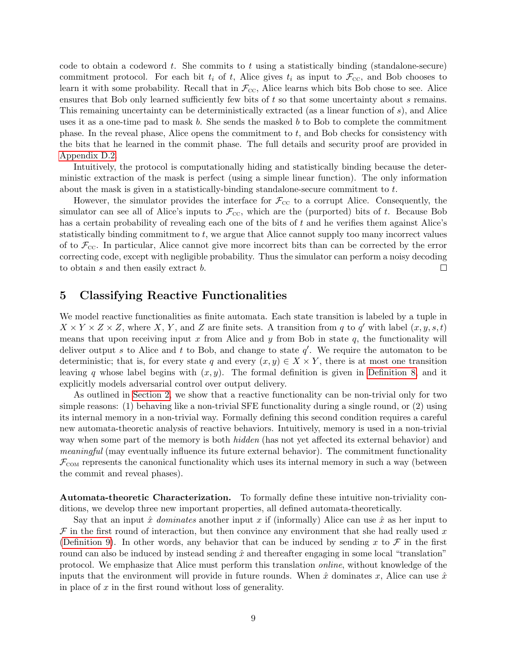code to obtain a codeword t. She commits to t using a statistically binding (standalone-secure) commitment protocol. For each bit  $t_i$  of t, Alice gives  $t_i$  as input to  $\mathcal{F}_{\text{cc}}$ , and Bob chooses to learn it with some probability. Recall that in  $\mathcal{F}_{\text{cc}}$ , Alice learns which bits Bob chose to see. Alice ensures that Bob only learned sufficiently few bits of t so that some uncertainty about s remains. This remaining uncertainty can be deterministically extracted (as a linear function of s), and Alice uses it as a one-time pad to mask  $b$ . She sends the masked  $b$  to Bob to complete the commitment phase. In the reveal phase, Alice opens the commitment to  $t$ , and Bob checks for consistency with the bits that he learned in the commit phase. The full details and security proof are provided in [Appendix D.2.](#page-28-0)

Intuitively, the protocol is computationally hiding and statistically binding because the deterministic extraction of the mask is perfect (using a simple linear function). The only information about the mask is given in a statistically-binding standalone-secure commitment to  $t$ .

However, the simulator provides the interface for  $\mathcal{F}_{\text{cc}}$  to a corrupt Alice. Consequently, the simulator can see all of Alice's inputs to  $\mathcal{F}_{\text{cc}}$ , which are the (purported) bits of t. Because Bob has a certain probability of revealing each one of the bits of  $t$  and he verifies them against Alice's statistically binding commitment to t, we argue that Alice cannot supply too many incorrect values of to  $\mathcal{F}_{\text{cc}}$ . In particular, Alice cannot give more incorrect bits than can be corrected by the error correcting code, except with negligible probability. Thus the simulator can perform a noisy decoding to obtain s and then easily extract b.  $\Box$ 

## 5 Classifying Reactive Functionalities

We model reactive functionalities as finite automata. Each state transition is labeled by a tuple in  $X \times Y \times Z \times Z$ , where X, Y, and Z are finite sets. A transition from q to q' with label  $(x, y, s, t)$ means that upon receiving input x from Alice and y from Bob in state  $q$ , the functionality will deliver output s to Alice and t to Bob, and change to state  $q'$ . We require the automaton to be deterministic; that is, for every state q and every  $(x, y) \in X \times Y$ , there is at most one transition leaving q whose label begins with  $(x, y)$ . The formal definition is given in [Definition 8,](#page-30-1) and it explicitly models adversarial control over output delivery.

As outlined in [Section 2,](#page-3-0) we show that a reactive functionality can be non-trivial only for two simple reasons: (1) behaving like a non-trivial SFE functionality during a single round, or (2) using its internal memory in a non-trivial way. Formally defining this second condition requires a careful new automata-theoretic analysis of reactive behaviors. Intuitively, memory is used in a non-trivial way when some part of the memory is both *hidden* (has not yet affected its external behavior) and meaningful (may eventually influence its future external behavior). The commitment functionality  $\mathcal{F}_{COM}$  represents the canonical functionality which uses its internal memory in such a way (between the commit and reveal phases).

Automata-theoretic Characterization. To formally define these intuitive non-triviality conditions, we develop three new important properties, all defined automata-theoretically.

Say that an input  $\hat{x}$  dominates another input x if (informally) Alice can use  $\hat{x}$  as her input to  $\mathcal F$  in the first round of interaction, but then convince any environment that she had really used x [\(Definition 9\)](#page-31-0). In other words, any behavior that can be induced by sending x to  $\mathcal F$  in the first round can also be induced by instead sending  $\hat{x}$  and thereafter engaging in some local "translation" protocol. We emphasize that Alice must perform this translation online, without knowledge of the inputs that the environment will provide in future rounds. When  $\hat{x}$  dominates x, Alice can use  $\hat{x}$ in place of  $x$  in the first round without loss of generality.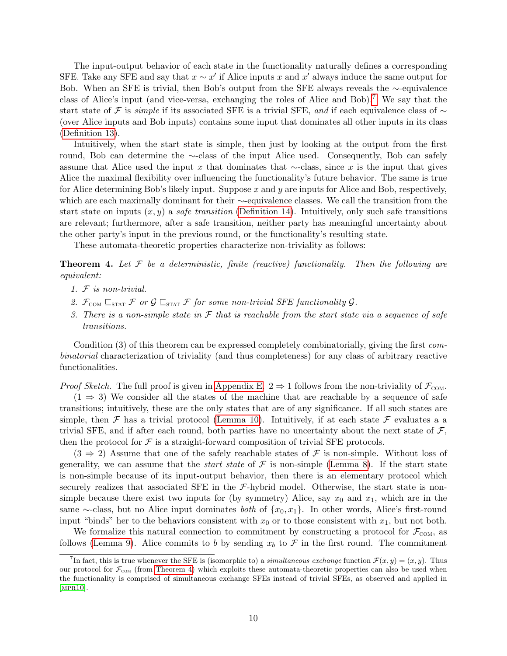The input-output behavior of each state in the functionality naturally defines a corresponding SFE. Take any SFE and say that  $x \sim x'$  if Alice inputs x and  $x'$  always induce the same output for Bob. When an SFE is trivial, then Bob's output from the SFE always reveals the ∼-equivalence class of Alice's input (and vice-versa, exchanging the roles of Alice and Bob).[7](#page-10-1) We say that the start state of F is simple if its associated SFE is a trivial SFE, and if each equivalence class of  $\sim$ (over Alice inputs and Bob inputs) contains some input that dominates all other inputs in its class [\(Definition 13\)](#page-34-0).

Intuitively, when the start state is simple, then just by looking at the output from the first round, Bob can determine the ∼-class of the input Alice used. Consequently, Bob can safely assume that Alice used the input x that dominates that  $\sim$ -class, since x is the input that gives Alice the maximal flexibility over influencing the functionality's future behavior. The same is true for Alice determining Bob's likely input. Suppose  $x$  and  $y$  are inputs for Alice and Bob, respectively, which are each maximally dominant for their ∼-equivalence classes. We call the transition from the start state on inputs  $(x, y)$  a *safe transition* [\(Definition 14\)](#page-34-1). Intuitively, only such safe transitions are relevant; furthermore, after a safe transition, neither party has meaningful uncertainty about the other party's input in the previous round, or the functionality's resulting state.

These automata-theoretic properties characterize non-triviality as follows:

<span id="page-10-0"></span>**Theorem 4.** Let  $\mathcal F$  be a deterministic, finite (reactive) functionality. Then the following are equivalent:

- 1. F is non-trivial.
- 2.  $\mathcal{F}_{COM} \sqsubseteq_{STAT} \mathcal{F}$  or  $\mathcal{G} \sqsubseteq_{STAT} \mathcal{F}$  for some non-trivial SFE functionality  $\mathcal{G}$ .
- 3. There is a non-simple state in  $\mathcal F$  that is reachable from the start state via a sequence of safe transitions.

Condition (3) of this theorem can be expressed completely combinatorially, giving the first combinatorial characterization of triviality (and thus completeness) for any class of arbitrary reactive functionalities.

*Proof Sketch.* The full proof is given in [Appendix E.](#page-30-0)  $2 \Rightarrow 1$  follows from the non-triviality of  $\mathcal{F}_{COM}$ .

 $(1 \Rightarrow 3)$  We consider all the states of the machine that are reachable by a sequence of safe transitions; intuitively, these are the only states that are of any significance. If all such states are simple, then F has a trivial protocol [\(Lemma 10\)](#page-37-0). Intuitively, if at each state F evaluates a a trivial SFE, and if after each round, both parties have no uncertainty about the next state of  $\mathcal{F}$ , then the protocol for  $\mathcal F$  is a straight-forward composition of trivial SFE protocols.

 $(3 \Rightarrow 2)$  Assume that one of the safely reachable states of F is non-simple. Without loss of generality, we can assume that the *start state* of  $\mathcal F$  is non-simple [\(Lemma 8\)](#page-35-0). If the start state is non-simple because of its input-output behavior, then there is an elementary protocol which securely realizes that associated SFE in the  $\mathcal{F}\text{-hybrid model}$ . Otherwise, the start state is nonsimple because there exist two inputs for (by symmetry) Alice, say  $x_0$  and  $x_1$ , which are in the same ∼-class, but no Alice input dominates *both* of  $\{x_0, x_1\}$ . In other words, Alice's first-round input "binds" her to the behaviors consistent with  $x_0$  or to those consistent with  $x_1$ , but not both.

We formalize this natural connection to commitment by constructing a protocol for  $\mathcal{F}_{COM}$ , as follows [\(Lemma 9\)](#page-36-0). Alice commits to b by sending  $x_b$  to F in the first round. The commitment

<span id="page-10-1"></span><sup>&</sup>lt;sup>7</sup>In fact, this is true whenever the SFE is (isomorphic to) a *simultaneous exchange* function  $\mathcal{F}(x, y) = (x, y)$ . Thus our protocol for  $\mathcal{F}_{COM}$  (from [Theorem 4\)](#page-10-0) which exploits these automata-theoretic properties can also be used when the functionality is comprised of simultaneous exchange SFEs instead of trivial SFEs, as observed and applied in  $[MPR10].$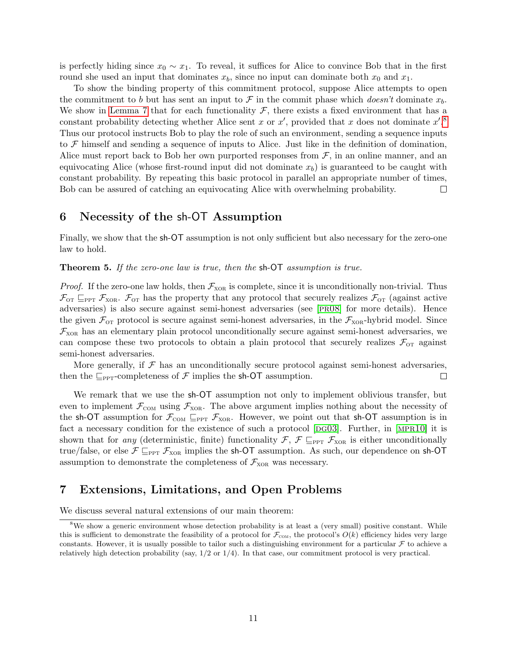is perfectly hiding since  $x_0 \sim x_1$ . To reveal, it suffices for Alice to convince Bob that in the first round she used an input that dominates  $x_b$ , since no input can dominate both  $x_0$  and  $x_1$ .

To show the binding property of this commitment protocol, suppose Alice attempts to open the commitment to b but has sent an input to F in the commit phase which doesn't dominate  $x_b$ . We show in [Lemma 7](#page-34-2) that for each functionality  $\mathcal{F}$ , there exists a fixed environment that has a constant probability detecting whether Alice sent x or  $x'$ , provided that x does not dominate  $x'$ .<sup>[8](#page-11-1)</sup> Thus our protocol instructs Bob to play the role of such an environment, sending a sequence inputs to  $\mathcal F$  himself and sending a sequence of inputs to Alice. Just like in the definition of domination, Alice must report back to Bob her own purported responses from  $\mathcal{F}$ , in an online manner, and an equivocating Alice (whose first-round input did not dominate  $x<sub>b</sub>$ ) is guaranteed to be caught with constant probability. By repeating this basic protocol in parallel an appropriate number of times, Bob can be assured of catching an equivocating Alice with overwhelming probability.  $\Box$ 

# 6 Necessity of the sh-OT Assumption

Finally, we show that the sh-OT assumption is not only sufficient but also necessary for the zero-one law to hold.

**Theorem 5.** If the zero-one law is true, then the sh-OT assumption is true.

*Proof.* If the zero-one law holds, then  $\mathcal{F}_{XOR}$  is complete, since it is unconditionally non-trivial. Thus  $\mathcal{F}_{\text{OT}}$   $\sqsubseteq_{\text{PPT}}$   $\mathcal{F}_{\text{XOR}}$ .  $\mathcal{F}_{\text{OT}}$  has the property that any protocol that securely realizes  $\mathcal{F}_{\text{OT}}$  (against active adversaries) is also secure against semi-honest adversaries (see [[pr08](#page-15-4)] for more details). Hence the given  $\mathcal{F}_{\text{OT}}$  protocol is secure against semi-honest adversaries, in the  $\mathcal{F}_{\text{XOR}}$ -hybrid model. Since  $\mathcal{F}_{XOR}$  has an elementary plain protocol unconditionally secure against semi-honest adversaries, we can compose these two protocols to obtain a plain protocol that securely realizes  $\mathcal{F}_{\text{or}}$  against semi-honest adversaries.

More generally, if  $\mathcal F$  has an unconditionally secure protocol against semi-honest adversaries, then the  $\Box_{\text{PPT}}$ -completeness of F implies the sh-OT assumption.  $\Box$ 

We remark that we use the sh-OT assumption not only to implement oblivious transfer, but even to implement  $\mathcal{F}_{COM}$  using  $\mathcal{F}_{XOR}$ . The above argument implies nothing about the necessity of the sh-OT assumption for  $\mathcal{F}_{COM} \subseteq_{PPT} \mathcal{F}_{XOR}$ . However, we point out that sh-OT assumption is in fact a necessary condition for the existence of such a protocol  $[DG03]$ . Further, in  $[MPR10]$  it is shown that for any (deterministic, finite) functionality  $\mathcal{F}, \mathcal{F} \subseteq_{\text{PPT}} \mathcal{F}_{\text{XOR}}$  is either unconditionally true/false, or else  $\mathcal{F} \sqsubseteq_{\text{PPT}} \mathcal{F}_{\text{XOR}}$  implies the sh-OT assumption. As such, our dependence on sh-OT assumption to demonstrate the completeness of  $\mathcal{F}_{XOR}$  was necessary.

# <span id="page-11-0"></span>7 Extensions, Limitations, and Open Problems

We discuss several natural extensions of our main theorem:

<span id="page-11-1"></span><sup>&</sup>lt;sup>8</sup>We show a generic environment whose detection probability is at least a (very small) positive constant. While this is sufficient to demonstrate the feasibility of a protocol for  $\mathcal{F}_{\text{COM}}$ , the protocol's  $O(k)$  efficiency hides very large constants. However, it is usually possible to tailor such a distinguishing environment for a particular  $\mathcal F$  to achieve a relatively high detection probability (say,  $1/2$  or  $1/4$ ). In that case, our commitment protocol is very practical.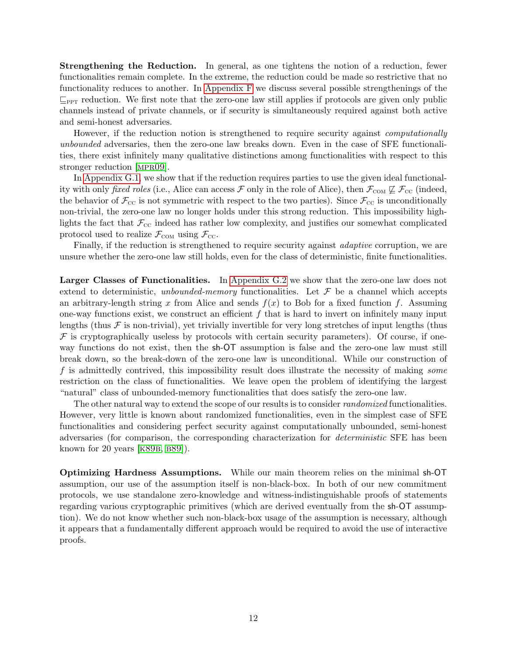Strengthening the Reduction. In general, as one tightens the notion of a reduction, fewer functionalities remain complete. In the extreme, the reduction could be made so restrictive that no functionality reduces to another. In [Appendix F](#page-38-0) we discuss several possible strengthenings of the  $\mathbb{Z}_{PPT}$  reduction. We first note that the zero-one law still applies if protocols are given only public channels instead of private channels, or if security is simultaneously required against both active and semi-honest adversaries.

However, if the reduction notion is strengthened to require security against computationally unbounded adversaries, then the zero-one law breaks down. Even in the case of SFE functionalities, there exist infinitely many qualitative distinctions among functionalities with respect to this stronger reduction [[mpr09](#page-15-3)].

In [Appendix G.1,](#page-39-0) we show that if the reduction requires parties to use the given ideal functionality with only *fixed roles* (i.e., Alice can access  $\mathcal F$  only in the role of Alice), then  $\mathcal F_{\text{COM}} \not\sqsubseteq \mathcal F_{\text{CC}}$  (indeed, the behavior of  $\mathcal{F}_{\text{cc}}$  is not symmetric with respect to the two parties). Since  $\mathcal{F}_{\text{cc}}$  is unconditionally non-trivial, the zero-one law no longer holds under this strong reduction. This impossibility highlights the fact that  $\mathcal{F}_{\text{cc}}$  indeed has rather low complexity, and justifies our somewhat complicated protocol used to realize  $\mathcal{F}_{COM}$  using  $\mathcal{F}_{CC}$ .

Finally, if the reduction is strengthened to require security against adaptive corruption, we are unsure whether the zero-one law still holds, even for the class of deterministic, finite functionalities.

Larger Classes of Functionalities. In [Appendix G.2](#page-40-0) we show that the zero-one law does not extend to deterministic, unbounded-memory functionalities. Let  $\mathcal F$  be a channel which accepts an arbitrary-length string x from Alice and sends  $f(x)$  to Bob for a fixed function f. Assuming one-way functions exist, we construct an efficient  $f$  that is hard to invert on infinitely many input lengths (thus  $\mathcal F$  is non-trivial), yet trivially invertible for very long stretches of input lengths (thus  $\mathcal F$  is cryptographically useless by protocols with certain security parameters). Of course, if oneway functions do not exist, then the sh-OT assumption is false and the zero-one law must still break down, so the break-down of the zero-one law is unconditional. While our construction of f is admittedly contrived, this impossibility result does illustrate the necessity of making some restriction on the class of functionalities. We leave open the problem of identifying the largest "natural" class of unbounded-memory functionalities that does satisfy the zero-one law.

The other natural way to extend the scope of our results is to consider randomized functionalities. However, very little is known about randomized functionalities, even in the simplest case of SFE functionalities and considering perfect security against computationally unbounded, semi-honest adversaries (for comparison, the corresponding characterization for deterministic SFE has been known for 20 years  $[K89B, B89]$ .

Optimizing Hardness Assumptions. While our main theorem relies on the minimal sh-OT assumption, our use of the assumption itself is non-black-box. In both of our new commitment protocols, we use standalone zero-knowledge and witness-indistinguishable proofs of statements regarding various cryptographic primitives (which are derived eventually from the sh-OT assumption). We do not know whether such non-black-box usage of the assumption is necessary, although it appears that a fundamentally different approach would be required to avoid the use of interactive proofs.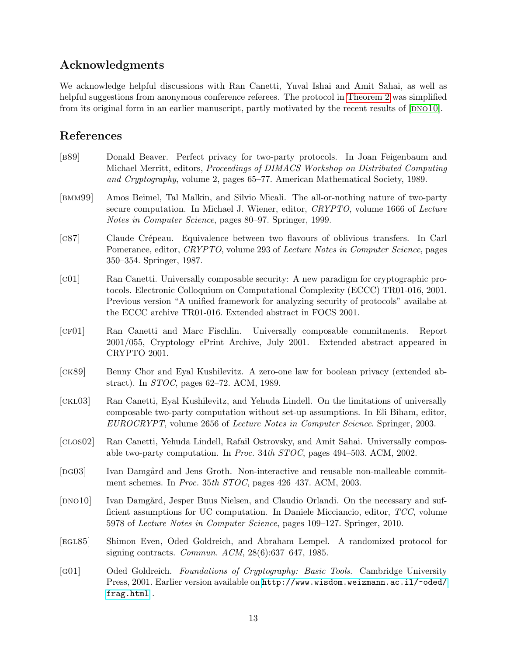# Acknowledgments

We acknowledge helpful discussions with Ran Canetti, Yuval Ishai and Amit Sahai, as well as helpful suggestions from anonymous conference referees. The protocol in [Theorem 2](#page-7-1) was simplified from its original form in an earlier manuscript, partly motivated by the recent results of  $[DNO10]$ .

# References

- <span id="page-13-3"></span>[b89] Donald Beaver. Perfect privacy for two-party protocols. In Joan Feigenbaum and Michael Merritt, editors, Proceedings of DIMACS Workshop on Distributed Computing and Cryptography, volume 2, pages 65–77. American Mathematical Society, 1989.
- <span id="page-13-4"></span>[bmm99] Amos Beimel, Tal Malkin, and Silvio Micali. The all-or-nothing nature of two-party secure computation. In Michael J. Wiener, editor, CRYPTO, volume 1666 of Lecture Notes in Computer Science, pages 80–97. Springer, 1999.
- <span id="page-13-11"></span>[c87] Claude Crépeau. Equivalence between two flavours of oblivious transfers. In Carl Pomerance, editor, *CRYPTO*, volume 293 of *Lecture Notes in Computer Science*, pages 350–354. Springer, 1987.
- <span id="page-13-0"></span>[c01] Ran Canetti. Universally composable security: A new paradigm for cryptographic protocols. Electronic Colloquium on Computational Complexity (ECCC) TR01-016, 2001. Previous version "A unified framework for analyzing security of protocols" availabe at the ECCC archive TR01-016. Extended abstract in FOCS 2001.
- <span id="page-13-5"></span>[cf01] Ran Canetti and Marc Fischlin. Universally composable commitments. Report 2001/055, Cryptology ePrint Archive, July 2001. Extended abstract appeared in CRYPTO 2001.
- <span id="page-13-2"></span>[ck89] Benny Chor and Eyal Kushilevitz. A zero-one law for boolean privacy (extended abstract). In STOC, pages 62–72. ACM, 1989.
- <span id="page-13-6"></span>[ckl03] Ran Canetti, Eyal Kushilevitz, and Yehuda Lindell. On the limitations of universally composable two-party computation without set-up assumptions. In Eli Biham, editor, EUROCRYPT, volume 2656 of Lecture Notes in Computer Science. Springer, 2003.
- <span id="page-13-1"></span>[clos02] Ran Canetti, Yehuda Lindell, Rafail Ostrovsky, and Amit Sahai. Universally composable two-party computation. In Proc. 34th STOC, pages 494–503. ACM, 2002.
- <span id="page-13-9"></span>[DG03] Ivan Damgård and Jens Groth. Non-interactive and reusable non-malleable commitment schemes. In Proc. 35th STOC, pages 426–437. ACM, 2003.
- <span id="page-13-7"></span>[DNO10] Ivan Damgård, Jesper Buus Nielsen, and Claudio Orlandi. On the necessary and sufficient assumptions for UC computation. In Daniele Micciancio, editor, TCC, volume 5978 of Lecture Notes in Computer Science, pages 109–127. Springer, 2010.
- <span id="page-13-10"></span>[egl85] Shimon Even, Oded Goldreich, and Abraham Lempel. A randomized protocol for signing contracts. *Commun. ACM*,  $28(6):637-647$ , 1985.
- <span id="page-13-8"></span>[g01] Oded Goldreich. Foundations of Cryptography: Basic Tools. Cambridge University Press, 2001. Earlier version available on [http://www.wisdom.weizmann.ac.il/~oded/](http://www.wisdom.weizmann.ac.il/~oded/frag.html) [frag.html](http://www.wisdom.weizmann.ac.il/~oded/frag.html) .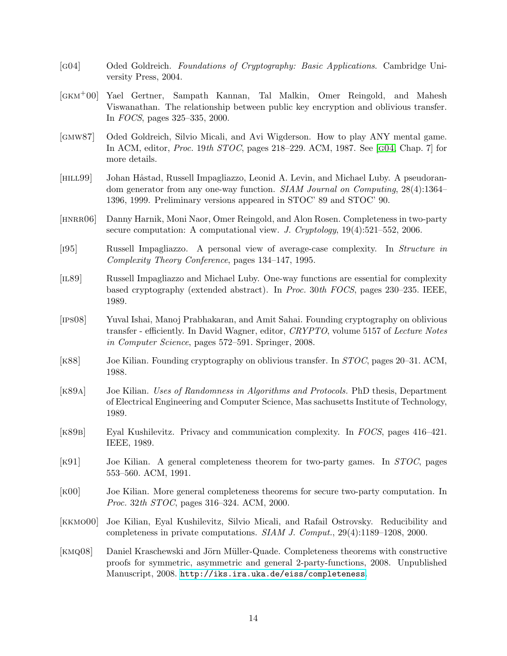- <span id="page-14-12"></span>[g04] Oded Goldreich. Foundations of Cryptography: Basic Applications. Cambridge University Press, 2004.
- <span id="page-14-14"></span>[gkm+00] Yael Gertner, Sampath Kannan, Tal Malkin, Omer Reingold, and Mahesh Viswanathan. The relationship between public key encryption and oblivious transfer. In FOCS, pages 325–335, 2000.
- <span id="page-14-0"></span>[gmw87] Oded Goldreich, Silvio Micali, and Avi Wigderson. How to play ANY mental game. In ACM, editor, Proc. 19th STOC, pages 218–229. ACM, 1987. See [[g04](#page-14-12), Chap. 7] for more details.
- <span id="page-14-9"></span>[HILL99] Johan Håstad, Russell Impagliazzo, Leonid A. Levin, and Michael Luby. A pseudorandom generator from any one-way function. SIAM Journal on Computing, 28(4):1364– 1396, 1999. Preliminary versions appeared in STOC' 89 and STOC' 90.
- <span id="page-14-8"></span>[HNRRO6] Danny Harnik, Moni Naor, Omer Reingold, and Alon Rosen. Completeness in two-party secure computation: A computational view. J. Cryptology,  $19(4):521-552$ , 2006.
- <span id="page-14-3"></span>[i95] Russell Impagliazzo. A personal view of average-case complexity. In Structure in Complexity Theory Conference, pages 134–147, 1995.
- <span id="page-14-10"></span>[il89] Russell Impagliazzo and Michael Luby. One-way functions are essential for complexity based cryptography (extended abstract). In Proc. 30th FOCS, pages 230–235. IEEE, 1989.
- <span id="page-14-2"></span>[ips08] Yuval Ishai, Manoj Prabhakaran, and Amit Sahai. Founding cryptography on oblivious transfer - efficiently. In David Wagner, editor, CRYPTO, volume 5157 of Lecture Notes in Computer Science, pages 572–591. Springer, 2008.
- <span id="page-14-1"></span>[k88] Joe Kilian. Founding cryptography on oblivious transfer. In STOC, pages 20–31. ACM, 1988.
- <span id="page-14-13"></span>[k89a] Joe Kilian. Uses of Randomness in Algorithms and Protocols. PhD thesis, Department of Electrical Engineering and Computer Science, Mas sachusetts Institute of Technology, 1989.
- <span id="page-14-4"></span>[k89b] Eyal Kushilevitz. Privacy and communication complexity. In FOCS, pages 416–421. IEEE, 1989.
- <span id="page-14-5"></span>[k91] Joe Kilian. A general completeness theorem for two-party games. In STOC, pages 553–560. ACM, 1991.
- <span id="page-14-6"></span>[k00] Joe Kilian. More general completeness theorems for secure two-party computation. In Proc. 32th STOC, pages 316–324. ACM, 2000.
- <span id="page-14-7"></span>[kkmo00] Joe Kilian, Eyal Kushilevitz, Silvio Micali, and Rafail Ostrovsky. Reducibility and completeness in private computations. SIAM J. Comput., 29(4):1189–1208, 2000.
- <span id="page-14-11"></span>[KMQ08] Daniel Kraschewski and Jörn Müller-Quade. Completeness theorems with constructive proofs for symmetric, asymmetric and general 2-party-functions, 2008. Unpublished Manuscript, 2008. <http://iks.ira.uka.de/eiss/completeness>.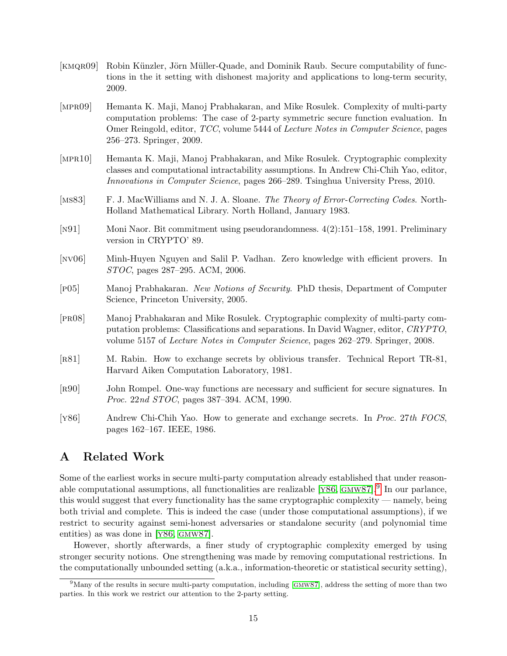- <span id="page-15-2"></span>[KMQR09] Robin Künzler, Jörn Müller-Quade, and Dominik Raub. Secure computability of functions in the it setting with dishonest majority and applications to long-term security, 2009.
- <span id="page-15-3"></span>[mpr09] Hemanta K. Maji, Manoj Prabhakaran, and Mike Rosulek. Complexity of multi-party computation problems: The case of 2-party symmetric secure function evaluation. In Omer Reingold, editor, TCC, volume 5444 of Lecture Notes in Computer Science, pages 256–273. Springer, 2009.
- <span id="page-15-0"></span>[mpr10] Hemanta K. Maji, Manoj Prabhakaran, and Mike Rosulek. Cryptographic complexity classes and computational intractability assumptions. In Andrew Chi-Chih Yao, editor, Innovations in Computer Science, pages 266–289. Tsinghua University Press, 2010.
- <span id="page-15-11"></span>[MS83] F. J. MacWilliams and N. J. A. Sloane. The Theory of Error-Correcting Codes. North-Holland Mathematical Library. North Holland, January 1983.
- <span id="page-15-7"></span>[n91] Moni Naor. Bit commitment using pseudorandomness. 4(2):151–158, 1991. Preliminary version in CRYPTO' 89.
- <span id="page-15-5"></span>[nv06] Minh-Huyen Nguyen and Salil P. Vadhan. Zero knowledge with efficient provers. In STOC, pages 287–295. ACM, 2006.
- <span id="page-15-6"></span>[p05] Manoj Prabhakaran. New Notions of Security. PhD thesis, Department of Computer Science, Princeton University, 2005.
- <span id="page-15-4"></span>[pr08] Manoj Prabhakaran and Mike Rosulek. Cryptographic complexity of multi-party computation problems: Classifications and separations. In David Wagner, editor, CRYPTO, volume 5157 of Lecture Notes in Computer Science, pages 262–279. Springer, 2008.
- <span id="page-15-10"></span>[r81] M. Rabin. How to exchange secrets by oblivious transfer. Technical Report TR-81, Harvard Aiken Computation Laboratory, 1981.
- <span id="page-15-12"></span>[r90] John Rompel. One-way functions are necessary and sufficient for secure signatures. In Proc. 22nd STOC, pages 387–394. ACM, 1990.
- <span id="page-15-8"></span>[y86] Andrew Chi-Chih Yao. How to generate and exchange secrets. In Proc. 27th FOCS, pages 162–167. IEEE, 1986.

# <span id="page-15-1"></span>A Related Work

Some of the earliest works in secure multi-party computation already established that under reasonable computational assumptions, all functionalities are realizable  $[*Y86*, *GMW87*]<sup>9</sup>$  $[*Y86*, *GMW87*]<sup>9</sup>$  $[*Y86*, *GMW87*]<sup>9</sup>$  In our parlance, this would suggest that every functionality has the same cryptographic complexity — namely, being both trivial and complete. This is indeed the case (under those computational assumptions), if we restrict to security against semi-honest adversaries or standalone security (and polynomial time entities) as was done in [Y86, GMW87].

However, shortly afterwards, a finer study of cryptographic complexity emerged by using stronger security notions. One strengthening was made by removing computational restrictions. In the computationally unbounded setting (a.k.a., information-theoretic or statistical security setting),

<span id="page-15-9"></span><sup>&</sup>lt;sup>9</sup>Many of the results in secure multi-party computation, including [GMW87], address the setting of more than two parties. In this work we restrict our attention to the 2-party setting.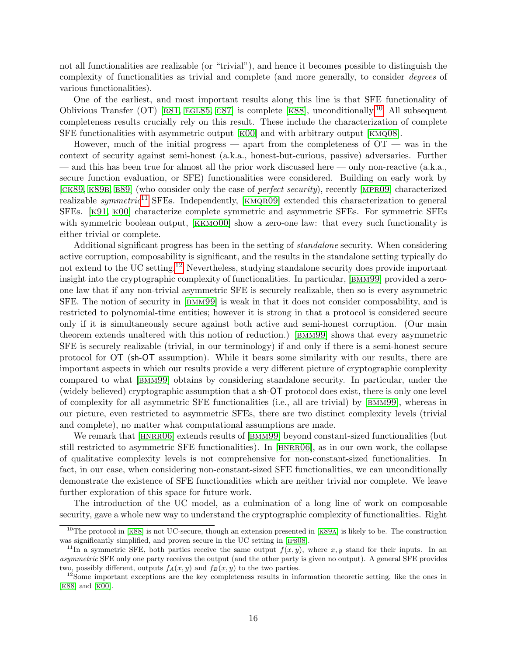not all functionalities are realizable (or "trivial"), and hence it becomes possible to distinguish the complexity of functionalities as trivial and complete (and more generally, to consider degrees of various functionalities).

One of the earliest, and most important results along this line is that SFE functionality of Oblivious Transfer (OT) [R81, EGL85, C87] is complete [K88], unconditionally.<sup>[10](#page-16-0)</sup> All subsequent completeness results crucially rely on this result. These include the characterization of complete SFE functionalities with asymmetric output [[k00](#page-14-6)] and with arbitrary output [[kmq08](#page-14-11)].

However, much of the initial progress — apart from the completeness of  $\overline{OT}$  — was in the context of security against semi-honest (a.k.a., honest-but-curious, passive) adversaries. Further — and this has been true for almost all the prior work discussed here — only non-reactive (a.k.a., secure function evaluation, or SFE) functionalities were considered. Building on early work by [CK89, K89B, B89] (who consider only the case of *perfect security*), recently [MPR09] characterized realizable symmetric<sup>[11](#page-16-1)</sup> SFEs. Independently, [KMQR09] extended this characterization to general SFEs. [[k91](#page-14-5), [k00](#page-14-6)] characterize complete symmetric and asymmetric SFEs. For symmetric SFEs with symmetric boolean output, [KKMO00] show a zero-one law: that every such functionality is either trivial or complete.

Additional significant progress has been in the setting of standalone security. When considering active corruption, composability is significant, and the results in the standalone setting typically do not extend to the UC setting.[12](#page-16-2) Nevertheless, studying standalone security does provide important insight into the cryptographic complexity of functionalities. In particular, [[bmm99](#page-13-4)] provided a zeroone law that if any non-trivial asymmetric SFE is securely realizable, then so is every asymmetric SFE. The notion of security in [[bmm99](#page-13-4)] is weak in that it does not consider composability, and is restricted to polynomial-time entities; however it is strong in that a protocol is considered secure only if it is simultaneously secure against both active and semi-honest corruption. (Our main theorem extends unaltered with this notion of reduction.) [[bmm99](#page-13-4)] shows that every asymmetric SFE is securely realizable (trivial, in our terminology) if and only if there is a semi-honest secure protocol for OT (sh-OT assumption). While it bears some similarity with our results, there are important aspects in which our results provide a very different picture of cryptographic complexity compared to what [[bmm99](#page-13-4)] obtains by considering standalone security. In particular, under the (widely believed) cryptographic assumption that a sh-OT protocol does exist, there is only one level of complexity for all asymmetric SFE functionalities (i.e., all are trivial) by [[bmm99](#page-13-4)], whereas in our picture, even restricted to asymmetric SFEs, there are two distinct complexity levels (trivial and complete), no matter what computational assumptions are made.

We remark that [HNRRO6] extends results of [BMM99] beyond constant-sized functionalities (but still restricted to asymmetric SFE functionalities). In [[hnrr06](#page-14-8)], as in our own work, the collapse of qualitative complexity levels is not comprehensive for non-constant-sized functionalities. In fact, in our case, when considering non-constant-sized SFE functionalities, we can unconditionally demonstrate the existence of SFE functionalities which are neither trivial nor complete. We leave further exploration of this space for future work.

The introduction of the UC model, as a culmination of a long line of work on composable security, gave a whole new way to understand the cryptographic complexity of functionalities. Right

<span id="page-16-0"></span> $10$ The protocol in [K88] is not UC-secure, though an extension presented in [K89A] is likely to be. The construction was significantly simplified, and proven secure in the UC setting in [[ips08](#page-14-2)].

<span id="page-16-1"></span><sup>&</sup>lt;sup>11</sup>In a symmetric SFE, both parties receive the same output  $f(x, y)$ , where x, y stand for their inputs. In an asymmetric SFE only one party receives the output (and the other party is given no output). A general SFE provides two, possibly different, outputs  $f_A(x, y)$  and  $f_B(x, y)$  to the two parties.

<span id="page-16-2"></span> $12$ Some important exceptions are the key completeness results in information theoretic setting, like the ones in [[k88](#page-14-1)] and [[k00](#page-14-6)].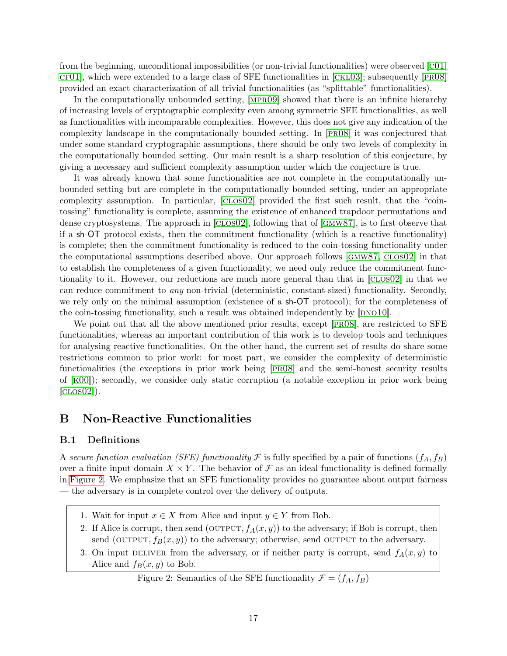from the beginning, unconditional impossibilities (or non-trivial functionalities) were observed [[c01](#page-13-0),  $CF01$ , which were extended to a large class of SFE functionalities in  $[CKL03]$ ; subsequently  $[PR08]$ provided an exact characterization of all trivial functionalities (as "splittable" functionalities).

In the computationally unbounded setting, [[mpr09](#page-15-3)] showed that there is an infinite hierarchy of increasing levels of cryptographic complexity even among symmetric SFE functionalities, as well as functionalities with incomparable complexities. However, this does not give any indication of the complexity landscape in the computationally bounded setting. In [[pr08](#page-15-4)] it was conjectured that under some standard cryptographic assumptions, there should be only two levels of complexity in the computationally bounded setting. Our main result is a sharp resolution of this conjecture, by giving a necessary and sufficient complexity assumption under which the conjecture is true.

It was already known that some functionalities are not complete in the computationally unbounded setting but are complete in the computationally bounded setting, under an appropriate complexity assumption. In particular, [[clos02](#page-13-1)] provided the first such result, that the "cointossing" functionality is complete, assuming the existence of enhanced trapdoor permutations and dense cryptosystems. The approach in [[clos02](#page-13-1)], following that of [[gmw87](#page-14-0)], is to first observe that if a sh-OT protocol exists, then the commitment functionality (which is a reactive functionality) is complete; then the commitment functionality is reduced to the coin-tossing functionality under the computational assumptions described above. Our approach follows [[gmw87](#page-14-0), [clos02](#page-13-1)] in that to establish the completeness of a given functionality, we need only reduce the commitment functionality to it. However, our reductions are much more general than that in [[clos02](#page-13-1)] in that we can reduce commitment to any non-trivial (deterministic, constant-sized) functionality. Secondly, we rely only on the minimal assumption (existence of a sh-OT protocol); for the completeness of the coin-tossing functionality, such a result was obtained independently by  $[DNO10]$ .

We point out that all the above mentioned prior results, except [PRO8], are restricted to SFE functionalities, whereas an important contribution of this work is to develop tools and techniques for analysing reactive functionalities. On the other hand, the current set of results do share some restrictions common to prior work: for most part, we consider the complexity of deterministic functionalities (the exceptions in prior work being [[pr08](#page-15-4)] and the semi-honest security results of  $[K00]$ ; secondly, we consider only static corruption (a notable exception in prior work being  $[CDS02]$ .

# <span id="page-17-0"></span>B Non-Reactive Functionalities

### B.1 Definitions

A secure function evaluation (SFE) functionality F is fully specified by a pair of functions  $(f_A, f_B)$ over a finite input domain  $X \times Y$ . The behavior of  $\mathcal F$  as an ideal functionality is defined formally in [Figure 2.](#page-17-1) We emphasize that an SFE functionality provides no guarantee about output fairness — the adversary is in complete control over the delivery of outputs.

- 1. Wait for input  $x \in X$  from Alice and input  $y \in Y$  from Bob.
- 2. If Alice is corrupt, then send (OUTPUT,  $f_A(x, y)$ ) to the adversary; if Bob is corrupt, then send (OUTPUT,  $f_B(x, y)$ ) to the adversary; otherwise, send OUTPUT to the adversary.
- 3. On input DELIVER from the adversary, or if neither party is corrupt, send  $f_A(x, y)$  to Alice and  $f_B(x, y)$  to Bob.

# <span id="page-17-1"></span>Figure 2: Semantics of the SFE functionality  $\mathcal{F} = (f_A, f_B)$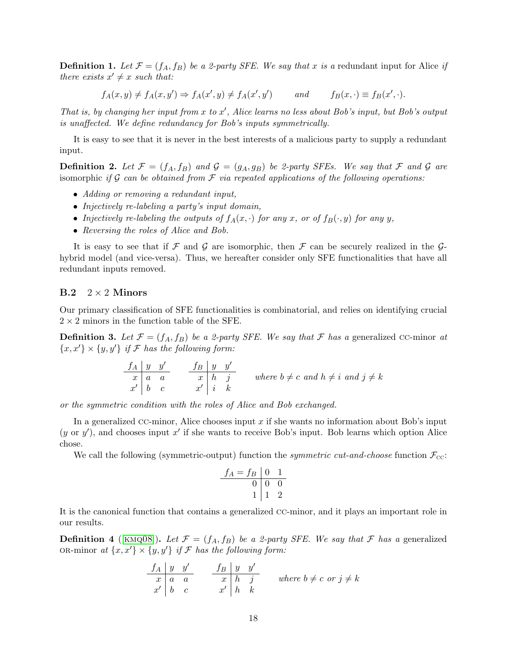**Definition 1.** Let  $\mathcal{F} = (f_A, f_B)$  be a 2-party SFE. We say that x is a redundant input for Alice if there exists  $x' \neq x$  such that:

$$
f_A(x,y) \neq f_A(x,y') \Rightarrow f_A(x',y) \neq f_A(x',y') \qquad \text{and} \qquad f_B(x,\cdot) \equiv f_B(x',\cdot).
$$

That is, by changing her input from  $x$  to  $x'$ , Alice learns no less about Bob's input, but Bob's output is unaffected. We define redundancy for Bob's inputs symmetrically.

It is easy to see that it is never in the best interests of a malicious party to supply a redundant input.

**Definition 2.** Let  $\mathcal{F} = (f_A, f_B)$  and  $\mathcal{G} = (g_A, g_B)$  be 2-party SFEs. We say that  $\mathcal{F}$  and  $\mathcal{G}$  are isomorphic if G can be obtained from  $\mathcal F$  via repeated applications of the following operations:

- Adding or removing a redundant input,
- Injectively re-labeling a party's input domain,
- Injectively re-labeling the outputs of  $f_A(x, \cdot)$  for any x, or of  $f_B(\cdot, y)$  for any y,
- Reversing the roles of Alice and Bob.

It is easy to see that if  $\mathcal F$  and  $\mathcal G$  are isomorphic, then  $\mathcal F$  can be securely realized in the  $\mathcal G$ hybrid model (and vice-versa). Thus, we hereafter consider only SFE functionalities that have all redundant inputs removed.

### $B.2 \quad 2 \times 2$  Minors

Our primary classification of SFE functionalities is combinatorial, and relies on identifying crucial  $2 \times 2$  minors in the function table of the SFE.

**Definition 3.** Let  $\mathcal{F} = (f_A, f_B)$  be a 2-party SFE. We say that  $\mathcal{F}$  has a generalized cc-minor at  ${x, x' \} \times {y, y'}$  if F has the following form:

$$
\begin{array}{c|cc}\n f_A & y & y' \\
 \hline\n x & a & a \\
 x' & b & c\n \end{array}\n \quad\n \begin{array}{c|cc}\n f_B & y & y' \\
 \hline\n x & h & j \\
 \hline\n x' & i & k\n \end{array}\n \quad\n \text{where } b \neq c \text{ and } h \neq i \text{ and } j \neq k
$$

or the symmetric condition with the roles of Alice and Bob exchanged.

In a generalized CC-minor, Alice chooses input x if she wants no information about Bob's input  $(y \text{ or } y')$ , and chooses input x' if she wants to receive Bob's input. Bob learns which option Alice chose.

We call the following (symmetric-output) function the *symmetric cut-and-choose* function  $\mathcal{F}_{\text{cc}}$ :

$$
\begin{array}{c|cc}\nf_A = f_B & 0 & 1 \\
\hline\n0 & 0 & 0 \\
1 & 1 & 2\n\end{array}
$$

It is the canonical function that contains a generalized cc-minor, and it plays an important role in our results.

**Definition 4** ([KMQ08]). Let  $\mathcal{F} = (f_A, f_B)$  be a 2-party SFE. We say that  $\mathcal{F}$  has a generalized OR-minor at  $\{x, x'\}\times \{y, y'\}$  if F has the following form:

$$
\begin{array}{c|cc}\n f_A & y & y' \\
\hline\nx & a & a \\
x' & b & c\n\end{array}\n\qquad\n\begin{array}{c|cc}\n f_B & y & y' \\
\hline\nx & h & j \\
x' & h & k\n\end{array}\n\qquad\n\text{where } b \neq c \text{ or } j \neq k
$$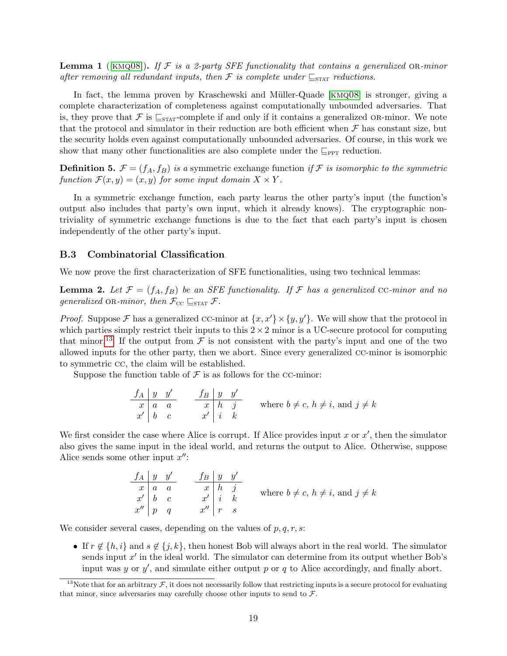**Lemma 1** ([KMQ08]). If F is a 2-party SFE functionality that contains a generalized OR-minor after removing all redundant inputs, then  $\mathcal F$  is complete under  $\subseteq_{\text{STAT}}$  reductions.

In fact, the lemma proven by Kraschewski and Müller-Quade [KMQ08] is stronger, giving a complete characterization of completeness against computationally unbounded adversaries. That is, they prove that  $\mathcal F$  is  $\sqsubseteq_{\text{STAT}}$ -complete if and only if it contains a generalized OR-minor. We note that the protocol and simulator in their reduction are both efficient when  $\mathcal F$  has constant size, but the security holds even against computationally unbounded adversaries. Of course, in this work we show that many other functionalities are also complete under the  $\mathbb{Z}_{\text{PPT}}$  reduction.

**Definition 5.**  $\mathcal{F} = (f_A, f_B)$  is a symmetric exchange function if  $\mathcal{F}$  is isomorphic to the symmetric function  $\mathcal{F}(x, y) = (x, y)$  for some input domain  $X \times Y$ .

In a symmetric exchange function, each party learns the other party's input (the function's output also includes that party's own input, which it already knows). The cryptographic nontriviality of symmetric exchange functions is due to the fact that each party's input is chosen independently of the other party's input.

### B.3 Combinatorial Classification

We now prove the first characterization of SFE functionalities, using two technical lemmas:

<span id="page-19-1"></span>**Lemma 2.** Let  $\mathcal{F} = (f_A, f_B)$  be an SFE functionality. If  $\mathcal{F}$  has a generalized CC-minor and no generalized OR-minor, then  $\mathcal{F}_{\text{cc}} \sqsubseteq_{\text{STAT}} \mathcal{F}$ .

*Proof.* Suppose F has a generalized CC-minor at  $\{x, x'\}\times \{y, y'\}$ . We will show that the protocol in which parties simply restrict their inputs to this  $2 \times 2$  minor is a UC-secure protocol for computing that minor.<sup>[13](#page-19-0)</sup> If the output from  $\mathcal F$  is not consistent with the party's input and one of the two allowed inputs for the other party, then we abort. Since every generalized cc-minor is isomorphic to symmetric cc, the claim will be established.

Suppose the function table of  $\mathcal F$  is as follows for the CC-minor:

$$
\begin{array}{c|c}\n f_A & y & y' \\
 \hline\n x & a & a \\
 x' & b & c\n \end{array}\n \quad\n \begin{array}{c|c}\n f_B & y & y' \\
 \hline\n x & h & j \\
 \hline\n x' & i & k\n \end{array}\n \quad\n \text{where } b \neq c, \, h \neq i, \, \text{and } j \neq k
$$

We first consider the case where Alice is corrupt. If Alice provides input x or  $x'$ , then the simulator also gives the same input in the ideal world, and returns the output to Alice. Otherwise, suppose Alice sends some other input  $x''$ :

$$
\begin{array}{c|c}\n f_A & y & y' \\
 \hline\n x & a & a \\
 x' & b & c \\
 x'' & p & q\n \end{array}\n \quad\n \begin{array}{c|c}\n f_B & y & y' \\
 \hline\n x & h & j \\
 \hline\n x' & i & k \\
 x'' & r & s\n \end{array}\n \quad\n \text{where } b \neq c, \, h \neq i, \, \text{and } j \neq k
$$

We consider several cases, depending on the values of  $p, q, r, s$ :

• If  $r \notin \{h, i\}$  and  $s \notin \{j, k\}$ , then honest Bob will always abort in the real world. The simulator sends input  $x'$  in the ideal world. The simulator can determine from its output whether Bob's input was y or  $y'$ , and simulate either output p or q to Alice accordingly, and finally abort.

<span id="page-19-0"></span><sup>&</sup>lt;sup>13</sup>Note that for an arbitrary  $\mathcal F$ , it does not necessarily follow that restricting inputs is a secure protocol for evaluating that minor, since adversaries may carefully choose other inputs to send to  $\mathcal{F}$ .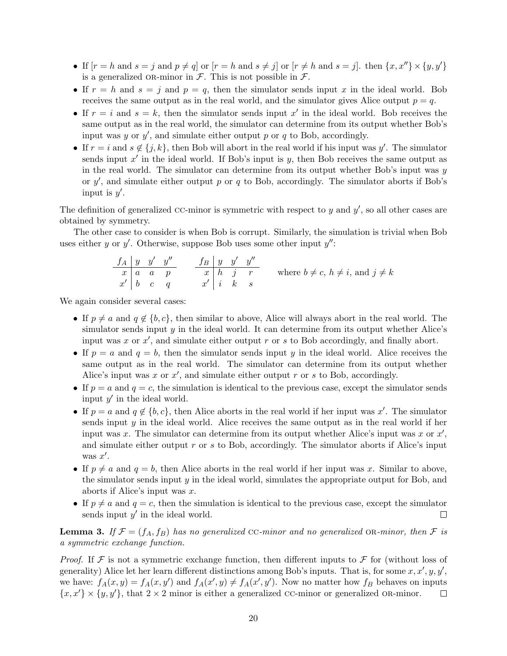- If  $[r = h \text{ and } s = j \text{ and } p \neq q]$  or  $[r = h \text{ and } s \neq j]$  or  $[r \neq h \text{ and } s = j]$ . then  $\{x, x''\} \times \{y, y'\}$ is a generalized OR-minor in  $\mathcal F$ . This is not possible in  $\mathcal F$ .
- If  $r = h$  and  $s = j$  and  $p = q$ , then the simulator sends input x in the ideal world. Bob receives the same output as in the real world, and the simulator gives Alice output  $p = q$ .
- If  $r = i$  and  $s = k$ , then the simulator sends input  $x'$  in the ideal world. Bob receives the same output as in the real world, the simulator can determine from its output whether Bob's input was  $y$  or  $y'$ , and simulate either output  $p$  or  $q$  to Bob, accordingly.
- If  $r = i$  and  $s \notin \{j, k\}$ , then Bob will abort in the real world if his input was y'. The simulator sends input  $x'$  in the ideal world. If Bob's input is  $y$ , then Bob receives the same output as in the real world. The simulator can determine from its output whether Bob's input was  $y$ or  $y'$ , and simulate either output p or q to Bob, accordingly. The simulator aborts if Bob's input is  $y'$ .

The definition of generalized CC-minor is symmetric with respect to  $y$  and  $y'$ , so all other cases are obtained by symmetry.

The other case to consider is when Bob is corrupt. Similarly, the simulation is trivial when Bob uses either y or y'. Otherwise, suppose Bob uses some other input  $y''$ :

$$
\begin{array}{c|cc}\n f_A & y & y' & y'' \\
\hline\n x & a & a & p \\
 x' & b & c & q\n\end{array}\n\qquad\n\begin{array}{c|cc}\n f_B & y & y' & y'' \\
\hline\n x & h & j & r \\
 x' & i & k & s\n\end{array}\n\qquad\n\text{where } b \neq c, h \neq i, \text{ and } j \neq k
$$

We again consider several cases:

- If  $p \neq a$  and  $q \notin \{b, c\}$ , then similar to above, Alice will always abort in the real world. The simulator sends input  $y$  in the ideal world. It can determine from its output whether Alice's input was x or  $x'$ , and simulate either output r or s to Bob accordingly, and finally abort.
- If  $p = a$  and  $q = b$ , then the simulator sends input y in the ideal world. Alice receives the same output as in the real world. The simulator can determine from its output whether Alice's input was x or  $x'$ , and simulate either output r or s to Bob, accordingly.
- If  $p = a$  and  $q = c$ , the simulation is identical to the previous case, except the simulator sends input  $y'$  in the ideal world.
- If  $p = a$  and  $q \notin \{b, c\}$ , then Alice aborts in the real world if her input was x'. The simulator sends input  $y$  in the ideal world. Alice receives the same output as in the real world if her input was x. The simulator can determine from its output whether Alice's input was x or  $x'$ , and simulate either output r or s to Bob, accordingly. The simulator aborts if Alice's input was  $x'$ .
- If  $p \neq a$  and  $q = b$ , then Alice aborts in the real world if her input was x. Similar to above, the simulator sends input  $y$  in the ideal world, simulates the appropriate output for Bob, and aborts if Alice's input was  $x$ .
- If  $p \neq a$  and  $q = c$ , then the simulation is identical to the previous case, except the simulator sends input  $y'$  in the ideal world.  $\Box$

<span id="page-20-0"></span>**Lemma 3.** If  $\mathcal{F} = (f_A, f_B)$  has no generalized CC-minor and no generalized OR-minor, then  $\mathcal{F}$  is a symmetric exchange function.

*Proof.* If F is not a symmetric exchange function, then different inputs to F for (without loss of generality) Alice let her learn different distinctions among Bob's inputs. That is, for some  $x, x', y, y',$ we have:  $f_A(x,y) = f_A(x,y')$  and  $f_A(x',y) \neq f_A(x',y')$ . Now no matter how  $f_B$  behaves on inputs  ${x, x' \} \times {y, y'}$ , that  $2 \times 2$  minor is either a generalized CC-minor or generalized OR-minor.  $\Box$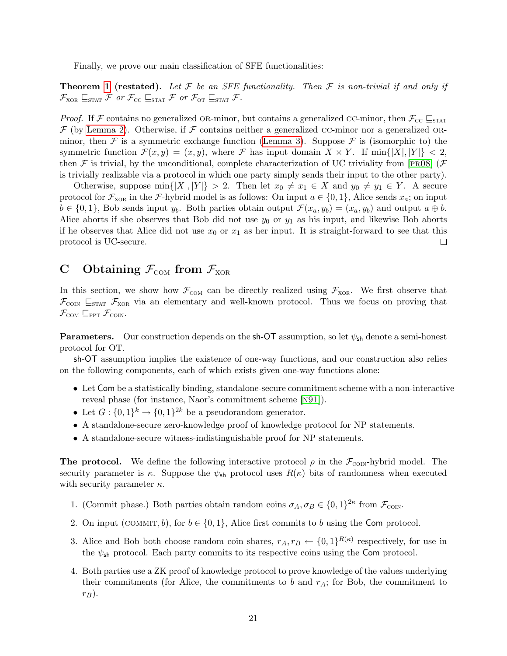Finally, we prove our main classification of SFE functionalities:

**Theorem [1](#page-7-0) (restated).** Let F be an SFE functionality. Then F is non-trivial if and only if  $\mathcal{F}_{XOR} \sqsubseteq_{\text{STAT}} \mathcal{F}$  or  $\mathcal{F}_{CC} \sqsubseteq_{\text{STAT}} \mathcal{F}$  or  $\mathcal{F}_{\text{OT}} \sqsubseteq_{\text{STAT}} \mathcal{F}$ .

*Proof.* If F contains no generalized OR-minor, but contains a generalized CC-minor, then  $\mathcal{F}_{\text{CC}} \subseteq_{\text{STAT}}$  $\mathcal F$  (by [Lemma 2\)](#page-19-1). Otherwise, if  $\mathcal F$  contains neither a generalized cc-minor nor a generalized OR-minor, then F is a symmetric exchange function [\(Lemma 3\)](#page-20-0). Suppose F is (isomorphic to) the symmetric function  $\mathcal{F}(x, y) = (x, y)$ , where  $\mathcal F$  has input domain  $X \times Y$ . If  $\min\{|X|, |Y|\} < 2$ , then F is trivial, by the unconditional, complete characterization of UC triviality from [PR08] (F is trivially realizable via a protocol in which one party simply sends their input to the other party).

Otherwise, suppose min $\{|X|, |Y|\} > 2$ . Then let  $x_0 \neq x_1 \in X$  and  $y_0 \neq y_1 \in Y$ . A secure protocol for  $\mathcal{F}_{XOR}$  in the F-hybrid model is as follows: On input  $a \in \{0,1\}$ , Alice sends  $x_a$ ; on input  $b \in \{0,1\}$ , Bob sends input  $y_b$ . Both parties obtain output  $\mathcal{F}(x_a, y_b) = (x_a, y_b)$  and output  $a \oplus b$ . Alice aborts if she observes that Bob did not use  $y_0$  or  $y_1$  as his input, and likewise Bob aborts if he observes that Alice did not use  $x_0$  or  $x_1$  as her input. It is straight-forward to see that this protocol is UC-secure.  $\Box$ 

# <span id="page-21-0"></span>C Obtaining  $\mathcal{F}_{COM}$  from  $\mathcal{F}_{XOR}$

In this section, we show how  $\mathcal{F}_{COM}$  can be directly realized using  $\mathcal{F}_{XOR}$ . We first observe that  $\mathcal{F}_{\text{CON}}$   $\subseteq$ <sub>STAT</sub>  $\mathcal{F}_{\text{XOR}}$  via an elementary and well-known protocol. Thus we focus on proving that  $\mathcal{F}_{COM} \sqsubseteq_{PPT} \mathcal{F}_{CON}.$ 

**Parameters.** Our construction depends on the sh-OT assumption, so let  $\psi_{sh}$  denote a semi-honest protocol for OT.

sh-OT assumption implies the existence of one-way functions, and our construction also relies on the following components, each of which exists given one-way functions alone:

- Let Com be a statistically binding, standalone-secure commitment scheme with a non-interactive reveal phase (for instance, Naor's commitment scheme [[n91](#page-15-7)]).
- Let  $G: \{0,1\}^k \to \{0,1\}^{2k}$  be a pseudorandom generator.
- A standalone-secure zero-knowledge proof of knowledge protocol for NP statements.
- A standalone-secure witness-indistinguishable proof for NP statements.

**The protocol.** We define the following interactive protocol  $\rho$  in the  $\mathcal{F}_{\text{CON}}$ -hybrid model. The security parameter is  $\kappa$ . Suppose the  $\psi_{\rm sh}$  protocol uses  $R(\kappa)$  bits of randomness when executed with security parameter  $\kappa$ .

- 1. (Commit phase.) Both parties obtain random coins  $\sigma_A, \sigma_B \in \{0, 1\}^{2\kappa}$  from  $\mathcal{F}_{\text{conv}}$ .
- 2. On input (COMMIT, b), for  $b \in \{0,1\}$ , Alice first commits to b using the Com protocol.
- 3. Alice and Bob both choose random coin shares,  $r_A, r_B \leftarrow \{0,1\}^{R(\kappa)}$  respectively, for use in the  $\psi_{\rm sh}$  protocol. Each party commits to its respective coins using the Com protocol.
- 4. Both parties use a ZK proof of knowledge protocol to prove knowledge of the values underlying their commitments (for Alice, the commitments to  $b$  and  $r_A$ ; for Bob, the commitment to  $r_B$ ).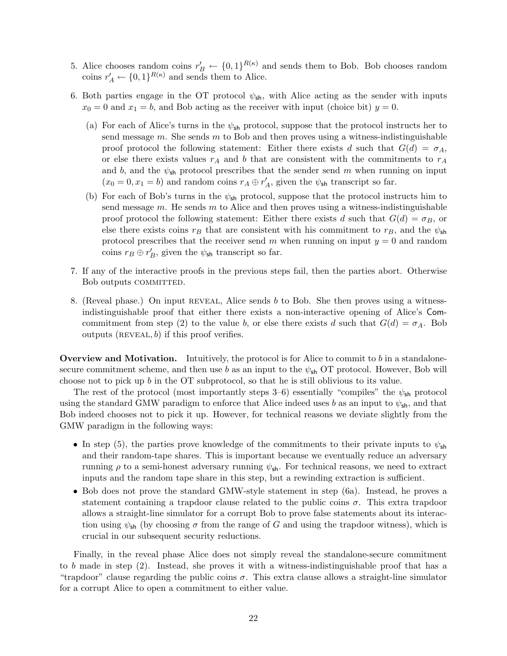- 5. Alice chooses random coins  $r'_B \leftarrow \{0,1\}^{R(\kappa)}$  and sends them to Bob. Bob chooses random coins  $r'_A \leftarrow \{0,1\}^{R(\kappa)}$  and sends them to Alice.
- 6. Both parties engage in the OT protocol  $\psi_{\rm sh}$ , with Alice acting as the sender with inputs  $x_0 = 0$  and  $x_1 = b$ , and Bob acting as the receiver with input (choice bit)  $y = 0$ .
	- (a) For each of Alice's turns in the  $\psi_{\rm sh}$  protocol, suppose that the protocol instructs her to send message  $m$ . She sends  $m$  to Bob and then proves using a witness-indistinguishable proof protocol the following statement: Either there exists d such that  $G(d) = \sigma_A$ , or else there exists values  $r_A$  and b that are consistent with the commitments to  $r_A$ and b, and the  $\psi_{\rm sh}$  protocol prescribes that the sender send m when running on input  $(x_0 = 0, x_1 = b)$  and random coins  $r_A \oplus r'_A$ , given the  $\psi_{\text{sh}}$  transcript so far.
	- (b) For each of Bob's turns in the  $\psi_{\rm sh}$  protocol, suppose that the protocol instructs him to send message  $m$ . He sends  $m$  to Alice and then proves using a witness-indistinguishable proof protocol the following statement: Either there exists d such that  $G(d) = \sigma_B$ , or else there exists coins  $r_B$  that are consistent with his commitment to  $r_B$ , and the  $\psi_{\mathsf{sh}}$ protocol prescribes that the receiver send m when running on input  $y = 0$  and random coins  $r_B \oplus r'_B$ , given the  $\psi_{\mathsf{sh}}$  transcript so far.
- 7. If any of the interactive proofs in the previous steps fail, then the parties abort. Otherwise Bob outputs COMMITTED.
- 8. (Reveal phase.) On input reveal, Alice sends b to Bob. She then proves using a witnessindistinguishable proof that either there exists a non-interactive opening of Alice's Comcommitment from step (2) to the value b, or else there exists d such that  $G(d) = \sigma_A$ . Bob outputs (REVEAL,  $b$ ) if this proof verifies.

**Overview and Motivation.** Intuitively, the protocol is for Alice to commit to b in a standalonesecure commitment scheme, and then use b as an input to the  $\psi_{\rm sh}$  OT protocol. However, Bob will choose not to pick up b in the OT subprotocol, so that he is still oblivious to its value.

The rest of the protocol (most importantly steps 3–6) essentially "compiles" the  $\psi_{\rm sh}$  protocol using the standard GMW paradigm to enforce that Alice indeed uses b as an input to  $\psi_{\text{sh}}$ , and that Bob indeed chooses not to pick it up. However, for technical reasons we deviate slightly from the GMW paradigm in the following ways:

- In step (5), the parties prove knowledge of the commitments to their private inputs to  $\psi_{\rm sh}$ and their random-tape shares. This is important because we eventually reduce an adversary running  $\rho$  to a semi-honest adversary running  $\psi_{\rm sh}$ . For technical reasons, we need to extract inputs and the random tape share in this step, but a rewinding extraction is sufficient.
- Bob does not prove the standard GMW-style statement in step (6a). Instead, he proves a statement containing a trapdoor clause related to the public coins  $\sigma$ . This extra trapdoor allows a straight-line simulator for a corrupt Bob to prove false statements about its interaction using  $\psi_{\rm sh}$  (by choosing  $\sigma$  from the range of G and using the trapdoor witness), which is crucial in our subsequent security reductions.

Finally, in the reveal phase Alice does not simply reveal the standalone-secure commitment to b made in step (2). Instead, she proves it with a witness-indistinguishable proof that has a "trapdoor" clause regarding the public coins  $\sigma$ . This extra clause allows a straight-line simulator for a corrupt Alice to open a commitment to either value.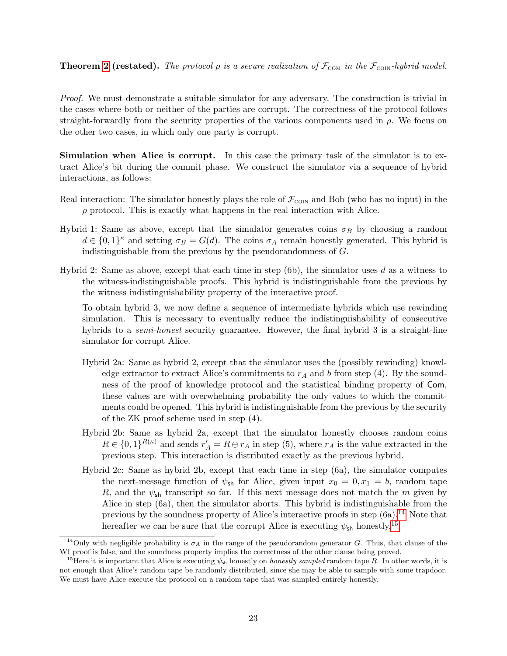### **Theorem [2](#page-7-1) (restated).** The protocol  $\rho$  is a secure realization of  $\mathcal{F}_{COM}$  in the  $\mathcal{F}_{COM}$ -hybrid model.

Proof. We must demonstrate a suitable simulator for any adversary. The construction is trivial in the cases where both or neither of the parties are corrupt. The correctness of the protocol follows straight-forwardly from the security properties of the various components used in  $\rho$ . We focus on the other two cases, in which only one party is corrupt.

Simulation when Alice is corrupt. In this case the primary task of the simulator is to extract Alice's bit during the commit phase. We construct the simulator via a sequence of hybrid interactions, as follows:

- Real interaction: The simulator honestly plays the role of  $\mathcal{F}_{\text{CON}}$  and Bob (who has no input) in the  $\rho$  protocol. This is exactly what happens in the real interaction with Alice.
- Hybrid 1: Same as above, except that the simulator generates coins  $\sigma_B$  by choosing a random  $d \in \{0,1\}^{\kappa}$  and setting  $\sigma_B = G(d)$ . The coins  $\sigma_A$  remain honestly generated. This hybrid is indistinguishable from the previous by the pseudorandomness of G.
- Hybrid 2: Same as above, except that each time in step  $(6b)$ , the simulator uses d as a witness to the witness-indistinguishable proofs. This hybrid is indistinguishable from the previous by the witness indistinguishability property of the interactive proof.

To obtain hybrid 3, we now define a sequence of intermediate hybrids which use rewinding simulation. This is necessary to eventually reduce the indistinguishability of consecutive hybrids to a *semi-honest* security guarantee. However, the final hybrid 3 is a straight-line simulator for corrupt Alice.

- Hybrid 2a: Same as hybrid 2, except that the simulator uses the (possibly rewinding) knowledge extractor to extract Alice's commitments to  $r_A$  and b from step (4). By the soundness of the proof of knowledge protocol and the statistical binding property of Com, these values are with overwhelming probability the only values to which the commitments could be opened. This hybrid is indistinguishable from the previous by the security of the ZK proof scheme used in step (4).
- Hybrid 2b: Same as hybrid 2a, except that the simulator honestly chooses random coins  $R \in \{0,1\}^{R(\kappa)}$  and sends  $r'_A = R \oplus r_A$  in step (5), where  $r_A$  is the value extracted in the previous step. This interaction is distributed exactly as the previous hybrid.
- Hybrid 2c: Same as hybrid 2b, except that each time in step (6a), the simulator computes the next-message function of  $\psi_{sh}$  for Alice, given input  $x_0 = 0, x_1 = b$ , random tape R, and the  $\psi_{\rm sh}$  transcript so far. If this next message does not match the m given by Alice in step (6a), then the simulator aborts. This hybrid is indistinguishable from the previous by the soundness property of Alice's interactive proofs in step  $(6a)$ .<sup>[14](#page-23-0)</sup> Note that hereafter we can be sure that the corrupt Alice is executing  $\psi_{\mathsf{sh}}$  honestly.<sup>[15](#page-23-1)</sup>

<span id="page-23-0"></span><sup>&</sup>lt;sup>14</sup>Only with negligible probability is  $\sigma_A$  in the range of the pseudorandom generator G. Thus, that clause of the WI proof is false, and the soundness property implies the correctness of the other clause being proved.

<span id="page-23-1"></span><sup>&</sup>lt;sup>15</sup>Here it is important that Alice is executing  $\psi_{\rm sh}$  honestly on *honestly sampled* random tape R. In other words, it is not enough that Alice's random tape be randomly distributed, since she may be able to sample with some trapdoor. We must have Alice execute the protocol on a random tape that was sampled entirely honestly.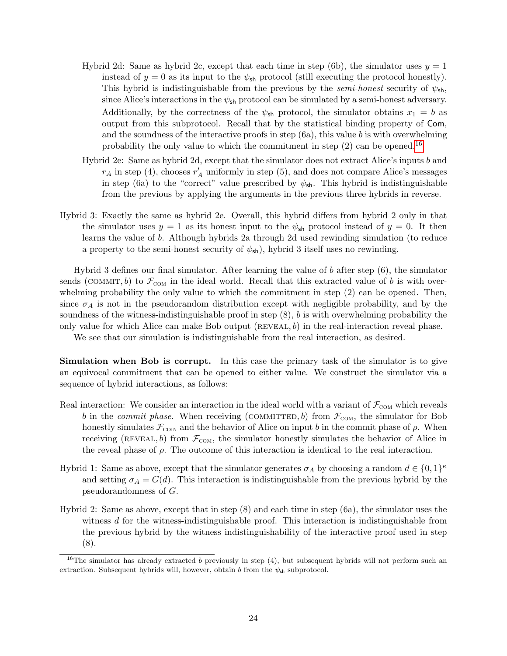- Hybrid 2d: Same as hybrid 2c, except that each time in step (6b), the simulator uses  $y = 1$ instead of  $y = 0$  as its input to the  $\psi_{\text{sh}}$  protocol (still executing the protocol honestly). This hybrid is indistinguishable from the previous by the *semi-honest* security of  $\psi_{\text{sh}}$ , since Alice's interactions in the  $\psi_{\mathsf{sh}}$  protocol can be simulated by a semi-honest adversary. Additionally, by the correctness of the  $\psi_{\rm sh}$  protocol, the simulator obtains  $x_1 = b$  as output from this subprotocol. Recall that by the statistical binding property of Com, and the soundness of the interactive proofs in step (6a), this value b is with overwhelming probability the only value to which the commitment in step  $(2)$  can be opened.<sup>[16](#page-24-0)</sup>
- Hybrid 2e: Same as hybrid 2d, except that the simulator does not extract Alice's inputs b and  $r_A$  in step (4), chooses  $r'_A$  uniformly in step (5), and does not compare Alice's messages in step (6a) to the "correct" value prescribed by  $\psi_{\rm sh}$ . This hybrid is indistinguishable from the previous by applying the arguments in the previous three hybrids in reverse.
- Hybrid 3: Exactly the same as hybrid 2e. Overall, this hybrid differs from hybrid 2 only in that the simulator uses  $y = 1$  as its honest input to the  $\psi_{\rm sh}$  protocol instead of  $y = 0$ . It then learns the value of b. Although hybrids 2a through 2d used rewinding simulation (to reduce a property to the semi-honest security of  $\psi_{\mathsf{sh}}$ ), hybrid 3 itself uses no rewinding.

Hybrid 3 defines our final simulator. After learning the value of b after step  $(6)$ , the simulator sends (COMMIT, b) to  $\mathcal{F}_{COM}$  in the ideal world. Recall that this extracted value of b is with overwhelming probability the only value to which the commitment in step  $(2)$  can be opened. Then, since  $\sigma_A$  is not in the pseudorandom distribution except with negligible probability, and by the soundness of the witness-indistinguishable proof in step (8), b is with overwhelming probability the only value for which Alice can make Bob output  $(REVEAL, b)$  in the real-interaction reveal phase.

We see that our simulation is indistinguishable from the real interaction, as desired.

Simulation when Bob is corrupt. In this case the primary task of the simulator is to give an equivocal commitment that can be opened to either value. We construct the simulator via a sequence of hybrid interactions, as follows:

- Real interaction: We consider an interaction in the ideal world with a variant of  $\mathcal{F}_{COM}$  which reveals b in the *commit phase*. When receiving (COMMITTED, b) from  $\mathcal{F}_{COM}$ , the simulator for Bob honestly simulates  $\mathcal{F}_{\text{CON}}$  and the behavior of Alice on input b in the commit phase of  $\rho$ . When receiving (REVEAL, b) from  $\mathcal{F}_{COM}$ , the simulator honestly simulates the behavior of Alice in the reveal phase of  $\rho$ . The outcome of this interaction is identical to the real interaction.
- Hybrid 1: Same as above, except that the simulator generates  $\sigma_A$  by choosing a random  $d \in \{0,1\}^{\kappa}$ and setting  $\sigma_A = G(d)$ . This interaction is indistinguishable from the previous hybrid by the pseudorandomness of G.
- Hybrid 2: Same as above, except that in step (8) and each time in step (6a), the simulator uses the witness d for the witness-indistinguishable proof. This interaction is indistinguishable from the previous hybrid by the witness indistinguishability of the interactive proof used in step (8).

<span id="page-24-0"></span><sup>&</sup>lt;sup>16</sup>The simulator has already extracted b previously in step  $(4)$ , but subsequent hybrids will not perform such an extraction. Subsequent hybrids will, however, obtain b from the  $\psi_{sh}$  subprotocol.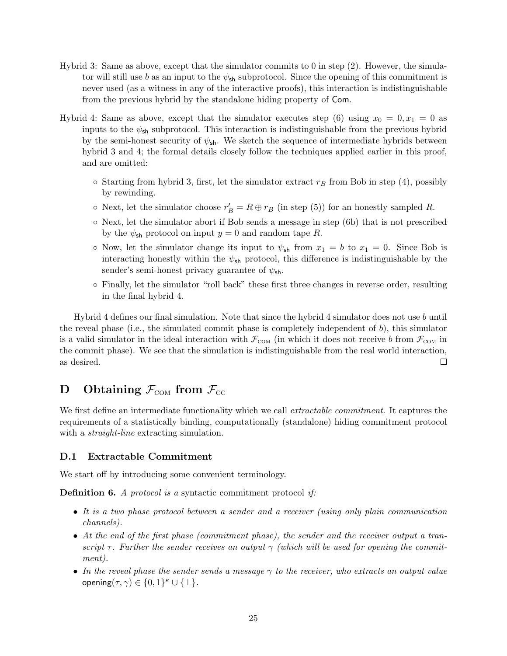- Hybrid 3: Same as above, except that the simulator commits to 0 in step (2). However, the simulator will still use b as an input to the  $\psi_{\rm sh}$  subprotocol. Since the opening of this commitment is never used (as a witness in any of the interactive proofs), this interaction is indistinguishable from the previous hybrid by the standalone hiding property of Com.
- Hybrid 4: Same as above, except that the simulator executes step (6) using  $x_0 = 0, x_1 = 0$  as inputs to the  $\psi_{\rm sh}$  subprotocol. This interaction is indistinguishable from the previous hybrid by the semi-honest security of  $\psi_{\text{sh}}$ . We sketch the sequence of intermediate hybrids between hybrid 3 and 4; the formal details closely follow the techniques applied earlier in this proof, and are omitted:
	- $\circ$  Starting from hybrid 3, first, let the simulator extract  $r_B$  from Bob in step (4), possibly by rewinding.
	- Next, let the simulator choose  $r'_B = R \oplus r_B$  (in step (5)) for an honestly sampled R.
	- Next, let the simulator abort if Bob sends a message in step (6b) that is not prescribed by the  $\psi_{\rm sh}$  protocol on input  $y = 0$  and random tape R.
	- $\circ$  Now, let the simulator change its input to  $\psi_{sh}$  from  $x_1 = b$  to  $x_1 = 0$ . Since Bob is interacting honestly within the  $\psi_{\rm sh}$  protocol, this difference is indistinguishable by the sender's semi-honest privacy guarantee of  $\psi_{\text{sh}}$ .
	- Finally, let the simulator "roll back" these first three changes in reverse order, resulting in the final hybrid 4.

Hybrid 4 defines our final simulation. Note that since the hybrid 4 simulator does not use b until the reveal phase (i.e., the simulated commit phase is completely independent of  $b$ ), this simulator is a valid simulator in the ideal interaction with  $\mathcal{F}_{COM}$  (in which it does not receive b from  $\mathcal{F}_{COM}$  in the commit phase). We see that the simulation is indistinguishable from the real world interaction, as desired.  $\Box$ 

# D Obtaining  $\mathcal{F}_{COM}$  from  $\mathcal{F}_{CC}$

We first define an intermediate functionality which we call *extractable commitment*. It captures the requirements of a statistically binding, computationally (standalone) hiding commitment protocol with a *straight-line* extracting simulation.

### <span id="page-25-0"></span>D.1 Extractable Commitment

We start off by introducing some convenient terminology.

Definition 6. A protocol is a syntactic commitment protocol if:

- It is a two phase protocol between a sender and a receiver (using only plain communication channels).
- At the end of the first phase (commitment phase), the sender and the receiver output a transcript  $\tau$ . Further the sender receives an output  $\gamma$  (which will be used for opening the commitment).
- In the reveal phase the sender sends a message  $\gamma$  to the receiver, who extracts an output value opening $(\tau, \gamma) \in \{0, 1\}^{\kappa} \cup \{\perp\}.$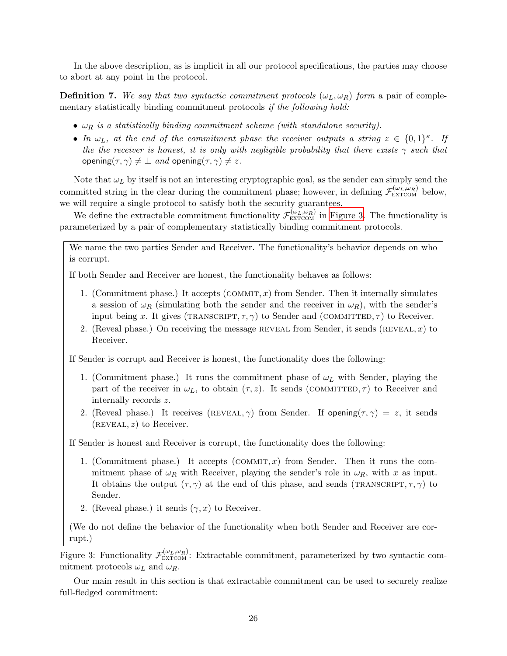In the above description, as is implicit in all our protocol specifications, the parties may choose to abort at any point in the protocol.

<span id="page-26-2"></span>**Definition 7.** We say that two syntactic commitment protocols  $(\omega_L, \omega_R)$  form a pair of complementary statistically binding commitment protocols if the following hold:

- $\omega_R$  is a statistically binding commitment scheme (with standalone security).
- In  $\omega_L$ , at the end of the commitment phase the receiver outputs a string  $z \in \{0,1\}^{\kappa}$ . If the the receiver is honest, it is only with negligible probability that there exists  $\gamma$  such that opening( $\tau$ ,  $\gamma$ )  $\neq \bot$  and opening( $\tau$ ,  $\gamma$ )  $\neq z$ .

Note that  $\omega_L$  by itself is not an interesting cryptographic goal, as the sender can simply send the committed string in the clear during the commitment phase; however, in defining  $\mathcal{F}_{\text{EXTCOM}}^{(\omega_L,\omega_R)}$  below, we will require a single protocol to satisfy both the security guarantees.

We define the extractable commitment functionality  $\mathcal{F}_{\text{EXTCOM}}^{(\omega_L,\omega_R)}$  in [Figure 3.](#page-26-1) The functionality is parameterized by a pair of complementary statistically binding commitment protocols.

We name the two parties Sender and Receiver. The functionality's behavior depends on who is corrupt.

If both Sender and Receiver are honest, the functionality behaves as follows:

- 1. (Commitment phase.) It accepts  $(COMMIT, x)$  from Sender. Then it internally simulates a session of  $\omega_R$  (simulating both the sender and the receiver in  $\omega_R$ ), with the sender's input being x. It gives (TRANSCRIPT,  $\tau$ ,  $\gamma$ ) to Sender and (COMMITTED,  $\tau$ ) to Receiver.
- 2. (Reveal phase.) On receiving the message REVEAL from Sender, it sends (REVEAL,  $x$ ) to Receiver.

If Sender is corrupt and Receiver is honest, the functionality does the following:

- 1. (Commitment phase.) It runs the commitment phase of  $\omega_L$  with Sender, playing the part of the receiver in  $\omega_L$ , to obtain  $(\tau, z)$ . It sends (COMMITTED,  $\tau$ ) to Receiver and internally records z.
- 2. (Reveal phase.) It receives (REVEAL,  $\gamma$ ) from Sender. If opening( $\tau$ ,  $\gamma$ ) = z, it sends  $(REVEAL, z)$  to Receiver.

If Sender is honest and Receiver is corrupt, the functionality does the following:

- 1. (Commitment phase.) It accepts  $(COMMIT, x)$  from Sender. Then it runs the commitment phase of  $\omega_R$  with Receiver, playing the sender's role in  $\omega_R$ , with x as input. It obtains the output  $(\tau, \gamma)$  at the end of this phase, and sends (TRANSCRIPT,  $\tau$ ,  $\gamma$ ) to Sender.
- 2. (Reveal phase.) it sends  $(\gamma, x)$  to Receiver.

<span id="page-26-1"></span>(We do not define the behavior of the functionality when both Sender and Receiver are corrupt.)

Figure 3: Functionality  $\mathcal{F}^{(\omega_L,\omega_R)}_{\text{EXTCOM}}$ : Extractable commitment, parameterized by two syntactic commitment protocols  $\omega_L$  and  $\omega_R$ .

<span id="page-26-0"></span>Our main result in this section is that extractable commitment can be used to securely realize full-fledged commitment: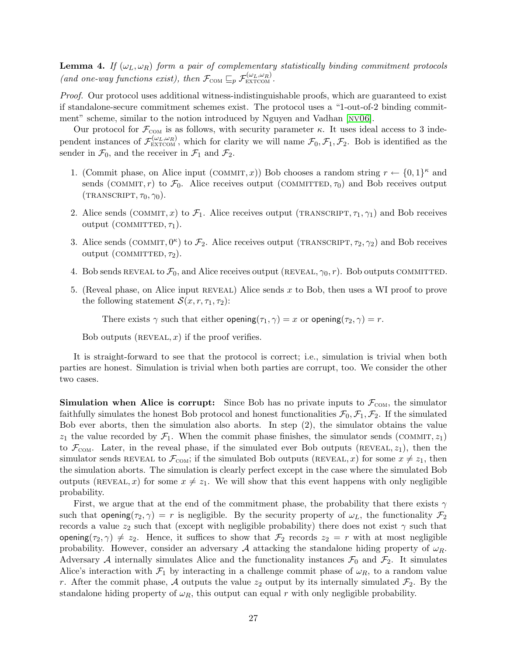**Lemma 4.** If  $(\omega_L, \omega_R)$  form a pair of complementary statistically binding commitment protocols (and one-way functions exist), then  $\mathcal{F}_{COM} \sqsubseteq_p \mathcal{F}_{\textrm{EXT}COM}^{(\omega_L, \omega_R)}$ .

Proof. Our protocol uses additional witness-indistinguishable proofs, which are guaranteed to exist if standalone-secure commitment schemes exist. The protocol uses a "1-out-of-2 binding commitment" scheme, similar to the notion introduced by Nguyen and Vadhan [NV06].

Our protocol for  $\mathcal{F}_{COM}$  is as follows, with security parameter  $\kappa$ . It uses ideal access to 3 independent instances of  $\mathcal{F}_{\text{EXTCOM}}^{(\omega_L,\omega_R)}$ , which for clarity we will name  $\mathcal{F}_0,\mathcal{F}_1,\mathcal{F}_2$ . Bob is identified as the sender in  $\mathcal{F}_0$ , and the receiver in  $\mathcal{F}_1$  and  $\mathcal{F}_2$ .

- 1. (Commit phase, on Alice input (COMMIT, x)) Bob chooses a random string  $r \leftarrow \{0,1\}^{\kappa}$  and sends (COMMIT, r) to  $\mathcal{F}_0$ . Alice receives output (COMMITTED,  $\tau_0$ ) and Bob receives output  $(TRANSCRIPT, \tau_0, \gamma_0).$
- 2. Alice sends (COMMIT, x) to  $\mathcal{F}_1$ . Alice receives output (TRANSCRIPT,  $\tau_1, \gamma_1$ ) and Bob receives output (COMMITTED,  $\tau_1$ ).
- 3. Alice sends (COMMIT,  $0^{\kappa}$ ) to  $\mathcal{F}_2$ . Alice receives output (TRANSCRIPT,  $\tau_2$ ,  $\gamma_2$ ) and Bob receives output (COMMITTED,  $\tau_2$ ).
- 4. Bob sends REVEAL to  $\mathcal{F}_0$ , and Alice receives output (REVEAL,  $\gamma_0$ , r). Bob outputs COMMITTED.
- 5. (Reveal phase, on Alice input reveal) Alice sends x to Bob, then uses a WI proof to prove the following statement  $\mathcal{S}(x, r, \tau_1, \tau_2)$ :

There exists  $\gamma$  such that either opening( $\tau_1$ ,  $\gamma$ ) = x or opening( $\tau_2$ ,  $\gamma$ ) = r.

Bob outputs  $(REVEAL, x)$  if the proof verifies.

It is straight-forward to see that the protocol is correct; i.e., simulation is trivial when both parties are honest. Simulation is trivial when both parties are corrupt, too. We consider the other two cases.

**Simulation when Alice is corrupt:** Since Bob has no private inputs to  $\mathcal{F}_{COM}$ , the simulator faithfully simulates the honest Bob protocol and honest functionalities  $\mathcal{F}_0$ ,  $\mathcal{F}_1$ ,  $\mathcal{F}_2$ . If the simulated Bob ever aborts, then the simulation also aborts. In step (2), the simulator obtains the value  $z_1$  the value recorded by  $\mathcal{F}_1$ . When the commit phase finishes, the simulator sends (COMMIT,  $z_1$ ) to  $\mathcal{F}_{COM}$ . Later, in the reveal phase, if the simulated ever Bob outputs (REVEAL,  $z_1$ ), then the simulator sends REVEAL to  $\mathcal{F}_{COM}$ ; if the simulated Bob outputs (REVEAL, x) for some  $x \neq z_1$ , then the simulation aborts. The simulation is clearly perfect except in the case where the simulated Bob outputs (REVEAL, x) for some  $x \neq z_1$ . We will show that this event happens with only negligible probability.

First, we argue that at the end of the commitment phase, the probability that there exists  $\gamma$ such that opening $(\tau_2, \gamma) = r$  is negligible. By the security property of  $\omega_L$ , the functionality  $\mathcal{F}_2$ records a value  $z_2$  such that (except with negligible probability) there does not exist  $\gamma$  such that opening( $\tau_2, \gamma$ )  $\neq z_2$ . Hence, it suffices to show that  $\mathcal{F}_2$  records  $z_2 = r$  with at most negligible probability. However, consider an adversary A attacking the standalone hiding property of  $\omega_R$ . Adversary A internally simulates Alice and the functionality instances  $\mathcal{F}_0$  and  $\mathcal{F}_2$ . It simulates Alice's interaction with  $\mathcal{F}_1$  by interacting in a challenge commit phase of  $\omega_R$ , to a random value r. After the commit phase, A outputs the value  $z_2$  output by its internally simulated  $\mathcal{F}_2$ . By the standalone hiding property of  $\omega_R$ , this output can equal r with only negligible probability.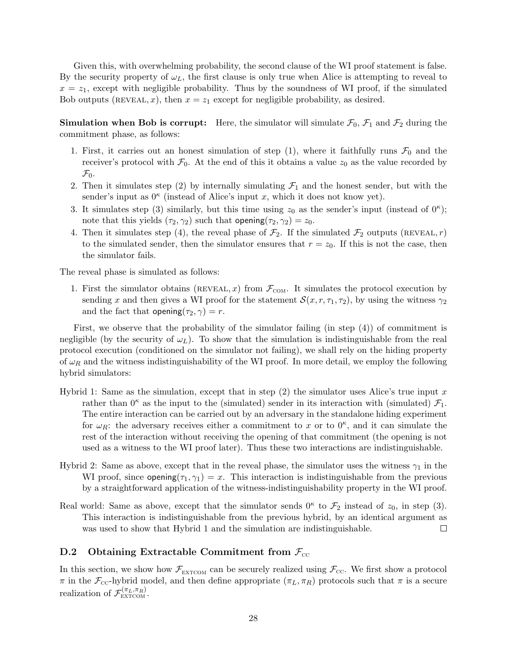Given this, with overwhelming probability, the second clause of the WI proof statement is false. By the security property of  $\omega_L$ , the first clause is only true when Alice is attempting to reveal to  $x = z_1$ , except with negligible probability. Thus by the soundness of WI proof, if the simulated Bob outputs (REVEAL, x), then  $x = z_1$  except for negligible probability, as desired.

**Simulation when Bob is corrupt:** Here, the simulator will simulate  $\mathcal{F}_0$ ,  $\mathcal{F}_1$  and  $\mathcal{F}_2$  during the commitment phase, as follows:

- 1. First, it carries out an honest simulation of step (1), where it faithfully runs  $\mathcal{F}_0$  and the receiver's protocol with  $\mathcal{F}_0$ . At the end of this it obtains a value  $z_0$  as the value recorded by  $\mathcal{F}_0$ .
- 2. Then it simulates step (2) by internally simulating  $\mathcal{F}_1$  and the honest sender, but with the sender's input as  $0^{\kappa}$  (instead of Alice's input x, which it does not know yet).
- 3. It simulates step (3) similarly, but this time using  $z_0$  as the sender's input (instead of  $0^{\kappa}$ ); note that this yields  $(\tau_2, \gamma_2)$  such that opening $(\tau_2, \gamma_2) = z_0$ .
- 4. Then it simulates step (4), the reveal phase of  $\mathcal{F}_2$ . If the simulated  $\mathcal{F}_2$  outputs (REVEAL, r) to the simulated sender, then the simulator ensures that  $r = z<sub>0</sub>$ . If this is not the case, then the simulator fails.

The reveal phase is simulated as follows:

1. First the simulator obtains (REVEAL, x) from  $\mathcal{F}_{COM}$ . It simulates the protocol execution by sending x and then gives a WI proof for the statement  $\mathcal{S}(x, r, \tau_1, \tau_2)$ , by using the witness  $\gamma_2$ and the fact that opening $(\tau_2, \gamma) = r$ .

First, we observe that the probability of the simulator failing  $(in step (4))$  of commitment is negligible (by the security of  $\omega_L$ ). To show that the simulation is indistinguishable from the real protocol execution (conditioned on the simulator not failing), we shall rely on the hiding property of  $\omega_R$  and the witness indistinguishability of the WI proof. In more detail, we employ the following hybrid simulators:

- Hybrid 1: Same as the simulation, except that in step  $(2)$  the simulator uses Alice's true input x rather than  $0^k$  as the input to the (simulated) sender in its interaction with (simulated)  $\mathcal{F}_1$ . The entire interaction can be carried out by an adversary in the standalone hiding experiment for  $\omega_R$ : the adversary receives either a commitment to x or to  $0^{\kappa}$ , and it can simulate the rest of the interaction without receiving the opening of that commitment (the opening is not used as a witness to the WI proof later). Thus these two interactions are indistinguishable.
- Hybrid 2: Same as above, except that in the reveal phase, the simulator uses the witness  $\gamma_1$  in the WI proof, since  $\text{opening}(\tau_1, \gamma_1) = x$ . This interaction is indistinguishable from the previous by a straightforward application of the witness-indistinguishability property in the WI proof.
- Real world: Same as above, except that the simulator sends  $0^{\kappa}$  to  $\mathcal{F}_2$  instead of  $z_0$ , in step (3). This interaction is indistinguishable from the previous hybrid, by an identical argument as was used to show that Hybrid 1 and the simulation are indistinguishable.  $\Box$

### <span id="page-28-0"></span>D.2 Obtaining Extractable Commitment from  $\mathcal{F}_{cc}$

In this section, we show how  $\mathcal{F}_{\text{EXTCOM}}$  can be securely realized using  $\mathcal{F}_{\text{CC}}$ . We first show a protocol  $\pi$  in the  $\mathcal{F}_{\text{CC}}$ -hybrid model, and then define appropriate  $(\pi_L, \pi_R)$  protocols such that  $\pi$  is a secure realization of  $\mathcal{F}_{\text{EXTCOM}}^{(\pi_L, \pi_R)}$ .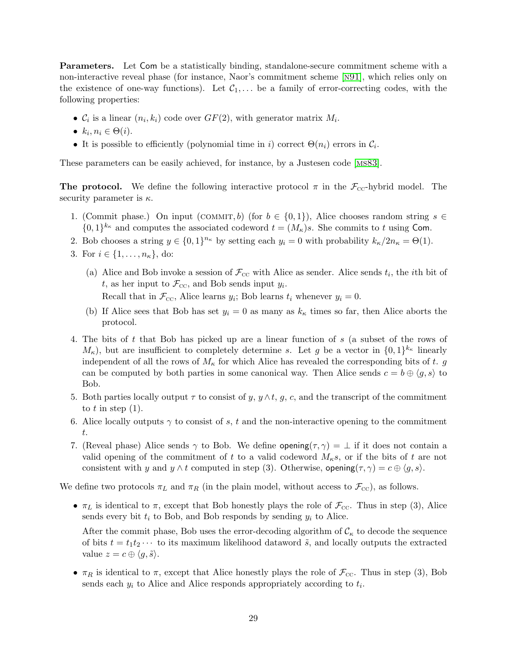Parameters. Let Com be a statistically binding, standalone-secure commitment scheme with a non-interactive reveal phase (for instance, Naor's commitment scheme [[n91](#page-15-7)], which relies only on the existence of one-way functions). Let  $C_1, \ldots$  be a family of error-correcting codes, with the following properties:

- $C_i$  is a linear  $(n_i, k_i)$  code over  $GF(2)$ , with generator matrix  $M_i$ .
- $k_i, n_i \in \Theta(i)$ .
- It is possible to efficiently (polynomial time in i) correct  $\Theta(n_i)$  errors in  $\mathcal{C}_i$ .

These parameters can be easily achieved, for instance, by a Justesen code [[ms83](#page-15-11)].

**The protocol.** We define the following interactive protocol  $\pi$  in the  $\mathcal{F}_{cc}$ -hybrid model. The security parameter is  $\kappa$ .

- 1. (Commit phase.) On input (COMMIT, b) (for  $b \in \{0,1\}$ ), Alice chooses random string  $s \in$  $\{0,1\}^{k_{\kappa}}$  and computes the associated codeword  $t = (M_{\kappa})s$ . She commits to t using Com.
- 2. Bob chooses a string  $y \in \{0,1\}^{n_{\kappa}}$  by setting each  $y_i = 0$  with probability  $k_{\kappa}/2n_{\kappa} = \Theta(1)$ .
- 3. For  $i \in \{1, ..., n_{\kappa}\},\$  do:
	- (a) Alice and Bob invoke a session of  $\mathcal{F}_{\text{CC}}$  with Alice as sender. Alice sends  $t_i$ , the *i*th bit of t, as her input to  $\mathcal{F}_{\text{CC}}$ , and Bob sends input  $y_i$ . Recall that in  $\mathcal{F}_{\text{cc}}$ , Alice learns  $y_i$ ; Bob learns  $t_i$  whenever  $y_i = 0$ .
	- (b) If Alice sees that Bob has set  $y_i = 0$  as many as  $k_{\kappa}$  times so far, then Alice aborts the protocol.
- 4. The bits of t that Bob has picked up are a linear function of s (a subset of the rows of  $M_{\kappa}$ ), but are insufficient to completely determine s. Let g be a vector in  $\{0,1\}^{k_{\kappa}}$  linearly independent of all the rows of  $M_{\kappa}$  for which Alice has revealed the corresponding bits of t. g can be computed by both parties in some canonical way. Then Alice sends  $c = b \oplus \langle g, s \rangle$  to Bob.
- 5. Both parties locally output  $\tau$  to consist of y,  $y \wedge t$ , g, c, and the transcript of the commitment to  $t$  in step  $(1)$ .
- 6. Alice locally outputs  $\gamma$  to consist of s, t and the non-interactive opening to the commitment t.
- 7. (Reveal phase) Alice sends  $\gamma$  to Bob. We define opening( $\tau$ ,  $\gamma$ ) =  $\bot$  if it does not contain a valid opening of the commitment of t to a valid codeword  $M_{\kappa}s$ , or if the bits of t are not consistent with y and  $y \wedge t$  computed in step (3). Otherwise, opening $(\tau, \gamma) = c \oplus \langle g, s \rangle$ .

We define two protocols  $\pi_L$  and  $\pi_R$  (in the plain model, without access to  $\mathcal{F}_{cc}$ ), as follows.

•  $\pi_L$  is identical to  $\pi$ , except that Bob honestly plays the role of  $\mathcal{F}_{\text{cc}}$ . Thus in step (3), Alice sends every bit  $t_i$  to Bob, and Bob responds by sending  $y_i$  to Alice.

After the commit phase, Bob uses the error-decoding algorithm of  $\mathcal{C}_{\kappa}$  to decode the sequence of bits  $t = t_1t_2 \cdots$  to its maximum likelihood dataword  $\tilde{s}$ , and locally outputs the extracted value  $z = c \oplus \langle q, \tilde{s} \rangle$ .

•  $\pi_R$  is identical to  $\pi$ , except that Alice honestly plays the role of  $\mathcal{F}_{\text{cc}}$ . Thus in step (3), Bob sends each  $y_i$  to Alice and Alice responds appropriately according to  $t_i$ .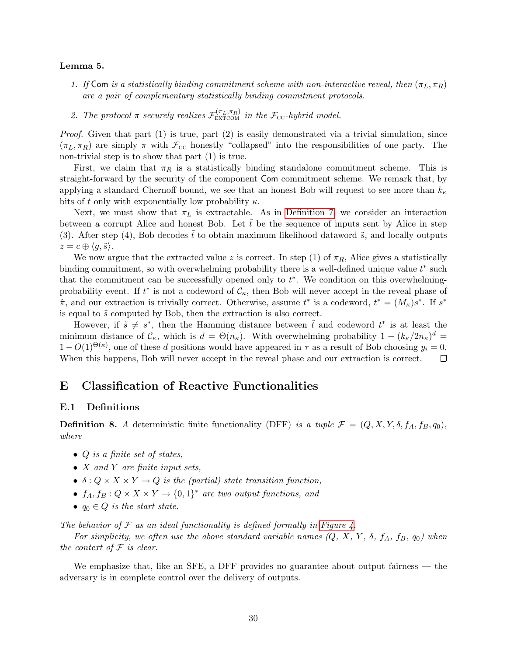### Lemma 5.

- 1. If Com is a statistically binding commitment scheme with non-interactive reveal, then  $(\pi_L, \pi_R)$ are a pair of complementary statistically binding commitment protocols.
- 2. The protocol  $\pi$  securely realizes  $\mathcal{F}_{\rm EXTCOM}^{(\pi_L, \pi_R)}$  in the  $\mathcal{F}_{\rm CC}$ -hybrid model.

*Proof.* Given that part  $(1)$  is true, part  $(2)$  is easily demonstrated via a trivial simulation, since  $(\pi_L, \pi_R)$  are simply  $\pi$  with  $\mathcal{F}_{\text{CC}}$  honestly "collapsed" into the responsibilities of one party. The non-trivial step is to show that part (1) is true.

First, we claim that  $\pi_R$  is a statistically binding standalone commitment scheme. This is straight-forward by the security of the component Com commitment scheme. We remark that, by applying a standard Chernoff bound, we see that an honest Bob will request to see more than  $k_{\kappa}$ bits of t only with exponentially low probability  $\kappa$ .

Next, we must show that  $\pi_L$  is extractable. As in [Definition 7,](#page-26-2) we consider an interaction between a corrupt Alice and honest Bob. Let  $\tilde{t}$  be the sequence of inputs sent by Alice in step (3). After step (4), Bob decodes  $\tilde{t}$  to obtain maximum likelihood dataword  $\tilde{s}$ , and locally outputs  $z = c \oplus \langle g, \tilde{s} \rangle.$ 

We now argue that the extracted value z is correct. In step (1) of  $\pi_R$ , Alice gives a statistically binding commitment, so with overwhelming probability there is a well-defined unique value  $t^*$  such that the commitment can be successfully opened only to  $t^*$ . We condition on this overwhelmingprobability event. If  $t^*$  is not a codeword of  $\mathcal{C}_{\kappa}$ , then Bob will never accept in the reveal phase of  $\hat{\pi}$ , and our extraction is trivially correct. Otherwise, assume  $t^*$  is a codeword,  $t^* = (M_{\kappa})s^*$ . If  $s^*$ is equal to  $\tilde{s}$  computed by Bob, then the extraction is also correct.

However, if  $\tilde{s} \neq s^*$ , then the Hamming distance between  $\tilde{t}$  and codeword  $t^*$  is at least the minimum distance of  $\mathcal{C}_{\kappa}$ , which is  $d = \Theta(n_{\kappa})$ . With overwhelming probability  $1 - (k_{\kappa}/2n_{\kappa})^d =$  $1 - O(1)^{\Theta(\kappa)}$ , one of these d positions would have appeared in  $\tau$  as a result of Bob choosing  $y_i = 0$ . When this happens, Bob will never accept in the reveal phase and our extraction is correct.  $\Box$ 

# <span id="page-30-0"></span>E Classification of Reactive Functionalities

### E.1 Definitions

<span id="page-30-1"></span>**Definition 8.** A deterministic finite functionality (DFF) is a tuple  $\mathcal{F} = (Q, X, Y, \delta, f_A, f_B, q_0)$ , where

- $Q$  is a finite set of states,
- $X$  and  $Y$  are finite input sets,
- $\delta: Q \times X \times Y \to Q$  is the (partial) state transition function,
- $f_A, f_B: Q \times X \times Y \to \{0,1\}^*$  are two output functions, and
- $q_0 \in Q$  is the start state.

The behavior of  $\mathcal F$  as an ideal functionality is defined formally in [Figure 4.](#page-31-1)

For simplicity, we often use the above standard variable names  $(Q, X, Y, \delta, f_A, f_B, q_0)$  when the context of  $F$  is clear.

We emphasize that, like an SFE, a DFF provides no guarantee about output fairness — the adversary is in complete control over the delivery of outputs.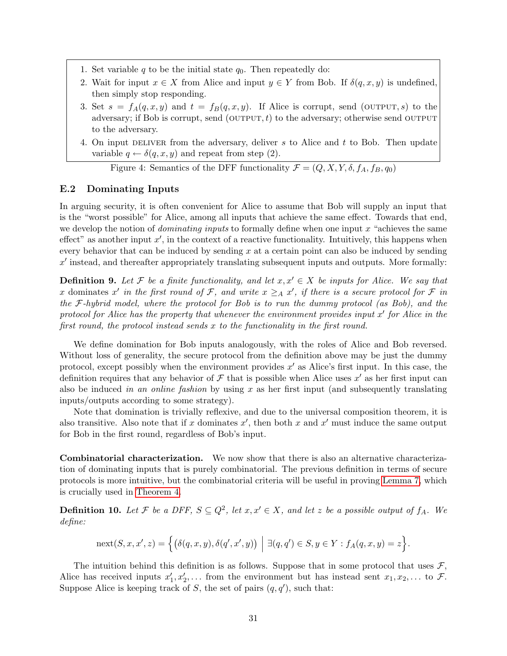- 1. Set variable q to be the initial state  $q_0$ . Then repeatedly do:
- 2. Wait for input  $x \in X$  from Alice and input  $y \in Y$  from Bob. If  $\delta(q, x, y)$  is undefined, then simply stop responding.
- 3. Set  $s = f_A(q, x, y)$  and  $t = f_B(q, x, y)$ . If Alice is corrupt, send (OUTPUT, s) to the adversary; if Bob is corrupt, send  $(OUTPUT, t)$  to the adversary; otherwise send OUTPUT to the adversary.
- 4. On input DELIVER from the adversary, deliver s to Alice and t to Bob. Then update variable  $q \leftarrow \delta(q, x, y)$  and repeat from step (2).

<span id="page-31-1"></span>Figure 4: Semantics of the DFF functionality  $\mathcal{F} = (Q, X, Y, \delta, f_A, f_B, q_0)$ 

### E.2 Dominating Inputs

In arguing security, it is often convenient for Alice to assume that Bob will supply an input that is the "worst possible" for Alice, among all inputs that achieve the same effect. Towards that end, we develop the notion of *dominating inputs* to formally define when one input  $x$  "achieves the same effect" as another input  $x'$ , in the context of a reactive functionality. Intuitively, this happens when every behavior that can be induced by sending  $x$  at a certain point can also be induced by sending  $x'$  instead, and thereafter appropriately translating subsequent inputs and outputs. More formally:

<span id="page-31-0"></span>**Definition 9.** Let F be a finite functionality, and let  $x, x' \in X$  be inputs for Alice. We say that x dominates x' in the first round of F, and write  $x \geq_A x'$ , if there is a secure protocol for F in the  $\mathcal{F}\text{-}\mathit{hybrid model}$ , where the protocol for Bob is to run the dummy protocol (as Bob), and the protocol for Alice has the property that whenever the environment provides input  $x'$  for Alice in the first round, the protocol instead sends x to the functionality in the first round.

We define domination for Bob inputs analogously, with the roles of Alice and Bob reversed. Without loss of generality, the secure protocol from the definition above may be just the dummy protocol, except possibly when the environment provides  $x'$  as Alice's first input. In this case, the definition requires that any behavior of  $\mathcal F$  that is possible when Alice uses  $x'$  as her first input can also be induced in an online fashion by using x as her first input (and subsequently translating inputs/outputs according to some strategy).

Note that domination is trivially reflexive, and due to the universal composition theorem, it is also transitive. Also note that if x dominates  $x'$ , then both x and  $x'$  must induce the same output for Bob in the first round, regardless of Bob's input.

Combinatorial characterization. We now show that there is also an alternative characterization of dominating inputs that is purely combinatorial. The previous definition in terms of secure protocols is more intuitive, but the combinatorial criteria will be useful in proving [Lemma 7,](#page-34-2) which is crucially used in [Theorem 4.](#page-10-0)

**Definition 10.** Let F be a DFF,  $S \subseteq Q^2$ , let  $x, x' \in X$ , and let z be a possible output of  $f_A$ . We define:

$$
next(S, x, x', z) = \Big\{ \big( \delta(q, x, y), \delta(q', x', y) \big) \mid \exists (q, q') \in S, y \in Y : f_A(q, x, y) = z \Big\}.
$$

The intuition behind this definition is as follows. Suppose that in some protocol that uses  $\mathcal{F}$ , Alice has received inputs  $x'_1, x'_2, \ldots$  from the environment but has instead sent  $x_1, x_2, \ldots$  to  $\mathcal{F}$ . Suppose Alice is keeping track of S, the set of pairs  $(q, q')$ , such that: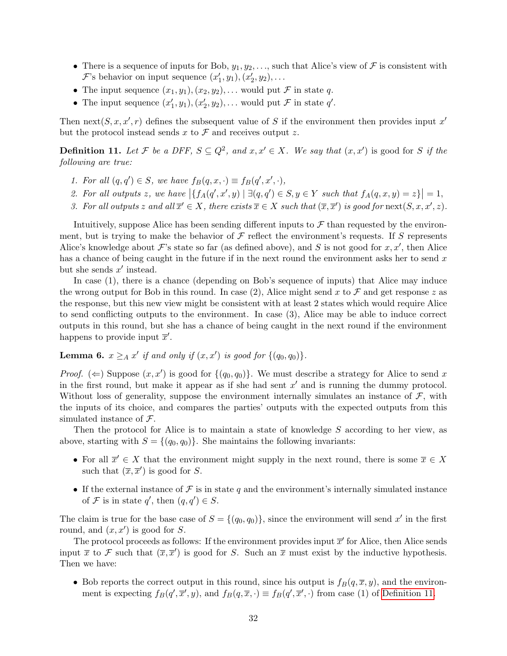- There is a sequence of inputs for Bob,  $y_1, y_2, \ldots$ , such that Alice's view of  $\mathcal F$  is consistent with  $\mathcal{F}$ 's behavior on input sequence  $(x'_1, y_1), (x'_2, y_2), \ldots$
- The input sequence  $(x_1, y_1), (x_2, y_2), \ldots$  would put  $\mathcal F$  in state  $q$ .
- The input sequence  $(x'_1, y_1), (x'_2, y_2), \ldots$  would put  $\mathcal F$  in state  $q'$ .

Then next( $S, x, x', r$ ) defines the subsequent value of S if the environment then provides input x' but the protocol instead sends x to  $\mathcal F$  and receives output z.

<span id="page-32-0"></span>**Definition 11.** Let F be a DFF,  $S \subseteq Q^2$ , and  $x, x' \in X$ . We say that  $(x, x')$  is good for S if the following are true:

- 1. For all  $(q, q') \in S$ , we have  $f_B(q, x, \cdot) \equiv f_B(q', x', \cdot),$
- 2. For all outputs z, we have  $\left| \{ f_A(q',x',y) \mid \exists (q,q') \in S, y \in Y \text{ such that } f_A(q,x,y) = z \} \right| = 1$ ,
- 3. For all outputs z and all  $\overline{x}' \in X$ , there exists  $\overline{x} \in X$  such that  $(\overline{x}, \overline{x}')$  is good for  $\operatorname{next}(S, x, x', z)$ .

Intuitively, suppose Alice has been sending different inputs to  $\mathcal F$  than requested by the environment, but is trying to make the behavior of  $\mathcal F$  reflect the environment's requests. If S represents Alice's knowledge about  $\mathcal{F}$ 's state so far (as defined above), and S is not good for  $x, x'$ , then Alice has a chance of being caught in the future if in the next round the environment asks her to send  $x$ but she sends  $x'$  instead.

In case (1), there is a chance (depending on Bob's sequence of inputs) that Alice may induce the wrong output for Bob in this round. In case (2), Alice might send x to  $\mathcal F$  and get response z as the response, but this new view might be consistent with at least 2 states which would require Alice to send conflicting outputs to the environment. In case (3), Alice may be able to induce correct outputs in this round, but she has a chance of being caught in the next round if the environment happens to provide input  $\bar{x}'$ .

# <span id="page-32-1"></span>**Lemma 6.**  $x \geq_A x'$  if and only if  $(x, x')$  is good for  $\{(q_0, q_0)\}.$

*Proof.* ( $\Leftarrow$ ) Suppose  $(x, x')$  is good for  $\{(q_0, q_0)\}\)$ . We must describe a strategy for Alice to send x in the first round, but make it appear as if she had sent  $x'$  and is running the dummy protocol. Without loss of generality, suppose the environment internally simulates an instance of  $\mathcal{F}$ , with the inputs of its choice, and compares the parties' outputs with the expected outputs from this simulated instance of  $\mathcal{F}$ .

Then the protocol for Alice is to maintain a state of knowledge S according to her view, as above, starting with  $S = \{(q_0, q_0)\}\.$  She maintains the following invariants:

- For all  $\overline{x}' \in X$  that the environment might supply in the next round, there is some  $\overline{x} \in X$ such that  $(\overline{x}, \overline{x}')$  is good for S.
- If the external instance of  $\mathcal F$  is in state q and the environment's internally simulated instance of F is in state q', then  $(q, q') \in S$ .

The claim is true for the base case of  $S = \{(q_0, q_0)\}\$ , since the environment will send x' in the first round, and  $(x, x')$  is good for S.

The protocol proceeds as follows: If the environment provides input  $\bar{x}'$  for Alice, then Alice sends input  $\bar{x}$  to F such that  $(\bar{x}, \bar{x}')$  is good for S. Such an  $\bar{x}$  must exist by the inductive hypothesis. Then we have:

• Bob reports the correct output in this round, since his output is  $f_B(q, \overline{x}, y)$ , and the environment is expecting  $f_B(q', \overline{x}', y)$ , and  $f_B(q, \overline{x}, \cdot) \equiv f_B(q', \overline{x}', \cdot)$  from case (1) of [Definition 11.](#page-32-0)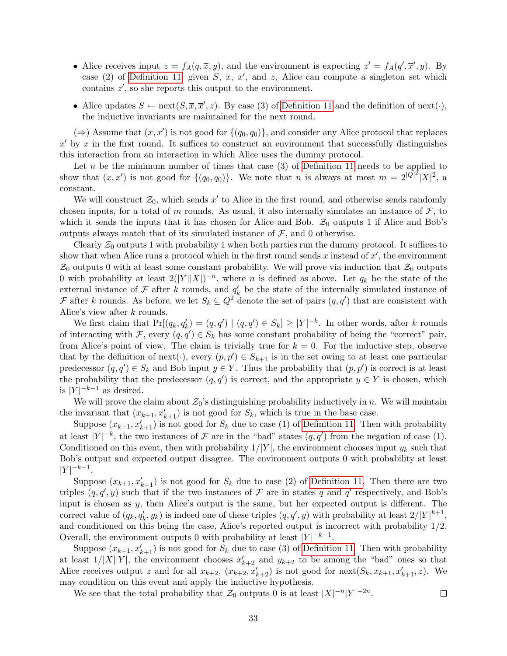- Alice receives input  $z = f_A(q, \overline{x}, y)$ , and the environment is expecting  $z' = f_A(q', \overline{x}', y)$ . By case (2) of [Definition 11,](#page-32-0) given S,  $\bar{x}$ ,  $\bar{x}'$ , and z, Alice can compute a singleton set which contains  $z'$ , so she reports this output to the environment.
- Alice updates  $S \leftarrow \text{next}(S, \overline{x}, \overline{x}', z)$ . By case (3) of [Definition 11](#page-32-0) and the definition of next( $\cdot$ ), the inductive invariants are maintained for the next round.

 $(\Rightarrow)$  Assume that  $(x, x')$  is not good for  $\{(q_0, q_0)\}\)$ , and consider any Alice protocol that replaces  $x'$  by x in the first round. It suffices to construct an environment that successfully distinguishes this interaction from an interaction in which Alice uses the dummy protocol.

Let n be the minimum number of times that case  $(3)$  of [Definition 11](#page-32-0) needs to be applied to show that  $(x, x')$  is not good for  $\{(q_0, q_0)\}\)$ . We note that n is always at most  $m = 2^{|Q|^2} |X|^2$ , a constant.

We will construct  $\mathcal{Z}_0$ , which sends x' to Alice in the first round, and otherwise sends randomly chosen inputs, for a total of m rounds. As usual, it also internally simulates an instance of  $\mathcal{F}$ , to which it sends the inputs that it has chosen for Alice and Bob.  $\mathcal{Z}_0$  outputs 1 if Alice and Bob's outputs always match that of its simulated instance of  $\mathcal{F}$ , and 0 otherwise.

Clearly  $\mathcal{Z}_0$  outputs 1 with probability 1 when both parties run the dummy protocol. It suffices to show that when Alice runs a protocol which in the first round sends x instead of  $x'$ , the environment  $\mathcal{Z}_0$  outputs 0 with at least some constant probability. We will prove via induction that  $\mathcal{Z}_0$  outputs 0 with probability at least  $2(|Y||X|)^{-n}$ , where *n* is defined as above. Let  $q_k$  be the state of the external instance of  $\mathcal F$  after k rounds, and  $q'_k$  be the state of the internally simulated instance of F after k rounds. As before, we let  $S_k \subseteq Q^2$  denote the set of pairs  $(q, q')$  that are consistent with Alice's view after k rounds.

We first claim that  $Pr[(q_k, q'_k) = (q, q') | (q, q') \in S_k] \geq |Y|^{-k}$ . In other words, after k rounds of interacting with F, every  $(q, q') \in S_k$  has some constant probability of being the "correct" pair, from Alice's point of view. The claim is trivially true for  $k = 0$ . For the inductive step, observe that by the definition of next( $\cdot$ ), every  $(p, p') \in S_{k+1}$  is in the set owing to at least one particular predecessor  $(q, q') \in S_k$  and Bob input  $y \in Y$ . Thus the probability that  $(p, p')$  is correct is at least the probability that the predecessor  $(q, q')$  is correct, and the appropriate  $y \in Y$  is chosen, which is  $|Y|^{-k-1}$  as desired.

We will prove the claim about  $\mathcal{Z}_0$ 's distinguishing probability inductively in n. We will maintain the invariant that  $(x_{k+1}, x_{k+1}')$  is not good for  $S_k$ , which is true in the base case.

Suppose  $(x_{k+1}, x'_{k+1})$  is not good for  $S_k$  due to case (1) of [Definition 11.](#page-32-0) Then with probability at least  $|Y|^{-k}$ , the two instances of  $\mathcal F$  are in the "bad" states  $(q, q')$  from the negation of case (1). Conditioned on this event, then with probability  $1/|Y|$ , the environment chooses input  $y_k$  such that Bob's output and expected output disagree. The environment outputs 0 with probability at least  $|Y|^{-k-1}$ .

Suppose  $(x_{k+1}, x_{k+1}')$  is not good for  $S_k$  due to case (2) of [Definition 11.](#page-32-0) Then there are two triples  $(q, q', y)$  such that if the two instances of F are in states q and q' respectively, and Bob's input is chosen as y, then Alice's output is the same, but her expected output is different. The correct value of  $(q_k, q'_k, y_k)$  is indeed one of these triples  $(q, q', y)$  with probability at least  $2/|Y|^{k+1}$ , and conditioned on this being the case, Alice's reported output is incorrect with probability 1/2. Overall, the environment outputs 0 with probability at least  $|Y|^{-k-1}$ .

Suppose  $(x_{k+1}, x_{k+1}')$  is not good for  $S_k$  due to case (3) of [Definition 11.](#page-32-0) Then with probability at least  $1/|X||Y|$ , the environment chooses  $x'_{k+2}$  and  $y_{k+2}$  to be among the "bad" ones so that Alice receives output z and for all  $x_{k+2}$ ,  $(x_{k+2}, x'_{k+2})$  is not good for  $\text{next}(S_k, x_{k+1}, x'_{k+1}, z)$ . We may condition on this event and apply the inductive hypothesis.

We see that the total probability that  $\mathcal{Z}_0$  outputs 0 is at least  $|X|^{-n}|Y|^{-2n}$ .

 $\Box$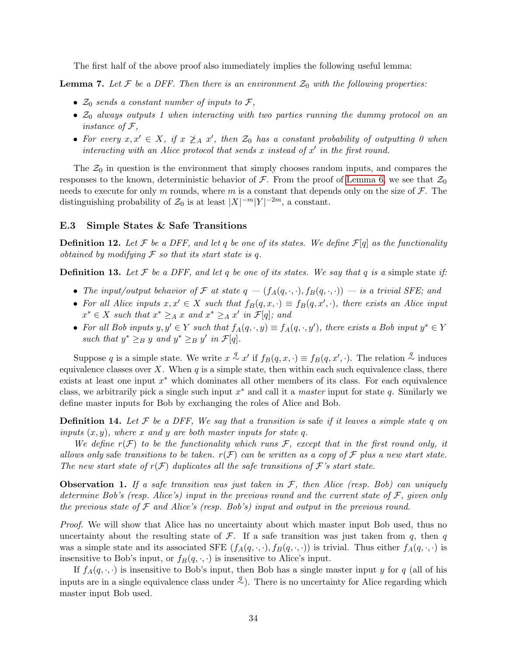The first half of the above proof also immediately implies the following useful lemma:

<span id="page-34-2"></span>**Lemma 7.** Let F be a DFF. Then there is an environment  $\mathcal{Z}_0$  with the following properties:

- $\mathcal{Z}_0$  sends a constant number of inputs to  $\mathcal{F},$
- $\mathcal{Z}_0$  always outputs 1 when interacting with two parties running the dummy protocol on an instance of  $\mathcal{F},$
- For every  $x, x' \in X$ , if  $x \not\geq_A x'$ , then  $\mathcal{Z}_0$  has a constant probability of outputting 0 when interacting with an Alice protocol that sends x instead of  $x'$  in the first round.

The  $\mathcal{Z}_0$  in question is the environment that simply chooses random inputs, and compares the responses to the known, deterministic behavior of  $\mathcal F$ . From the proof of [Lemma 6,](#page-32-1) we see that  $\mathcal Z_0$ needs to execute for only m rounds, where m is a constant that depends only on the size of  $\mathcal{F}$ . The distinguishing probability of  $\mathcal{Z}_0$  is at least  $|X|^{-m}|Y|^{-2m}$ , a constant.

### E.3 Simple States & Safe Transitions

**Definition 12.** Let F be a DFF, and let q be one of its states. We define  $\mathcal{F}[q]$  as the functionality obtained by modifying  $\mathcal F$  so that its start state is q.

<span id="page-34-0"></span>**Definition 13.** Let F be a DFF, and let q be one of its states. We say that q is a simple state if:

- The input/output behavior of F at state  $q = (f_A(q, \cdot, \cdot), f_B(q, \cdot, \cdot))$  is a trivial SFE; and
- For all Alice inputs  $x, x' \in X$  such that  $f_B(q, x, \cdot) \equiv f_B(q, x', \cdot)$ , there exists an Alice input  $x^* \in X$  such that  $x^* \geq_A x$  and  $x^* \geq_A x'$  in  $\mathcal{F}[q]$ ; and
- For all Bob inputs  $y, y' \in Y$  such that  $f_A(q, \cdot, y) \equiv f_A(q, \cdot, y')$ , there exists a Bob input  $y^* \in Y$ such that  $y^* \geq_B y$  and  $y^* \geq_B y'$  in  $\mathcal{F}[q]$ .

Suppose q is a simple state. We write  $x \stackrel{q}{\sim} x'$  if  $f_B(q, x, \cdot) \equiv f_B(q, x', \cdot)$ . The relation  $\stackrel{q}{\sim}$  induces equivalence classes over X. When  $q$  is a simple state, then within each such equivalence class, there exists at least one input  $x^*$  which dominates all other members of its class. For each equivalence class, we arbitrarily pick a single such input  $x^*$  and call it a *master* input for state q. Similarly we define master inputs for Bob by exchanging the roles of Alice and Bob.

<span id="page-34-1"></span>**Definition 14.** Let  $\mathcal F$  be a DFF, We say that a transition is safe if it leaves a simple state q on inputs  $(x, y)$ , where x and y are both master inputs for state q.

We define  $r(\mathcal{F})$  to be the functionality which runs  $\mathcal{F}$ , except that in the first round only, it allows only safe transitions to be taken.  $r(\mathcal{F})$  can be written as a copy of  $\mathcal F$  plus a new start state. The new start state of  $r(\mathcal{F})$  duplicates all the safe transitions of  $\mathcal{F}$ 's start state.

<span id="page-34-3"></span>**Observation 1.** If a safe transition was just taken in  $\mathcal{F}$ , then Alice (resp. Bob) can uniquely determine Bob's (resp. Alice's) input in the previous round and the current state of  $\mathcal{F}$ , given only the previous state of  $\mathcal F$  and Alice's (resp. Bob's) input and output in the previous round.

Proof. We will show that Alice has no uncertainty about which master input Bob used, thus no uncertainty about the resulting state of  $\mathcal{F}$ . If a safe transition was just taken from q, then q was a simple state and its associated SFE  $(f_A(q, \cdot, \cdot), f_B(q, \cdot, \cdot))$  is trivial. Thus either  $f_A(q, \cdot, \cdot)$  is insensitive to Bob's input, or  $f_B(q, \cdot, \cdot)$  is insensitive to Alice's input.

If  $f_A(q, \cdot, \cdot)$  is insensitive to Bob's input, then Bob has a single master input y for q (all of his inputs are in a single equivalence class under  $\stackrel{q}{\sim}$ ). There is no uncertainty for Alice regarding which master input Bob used.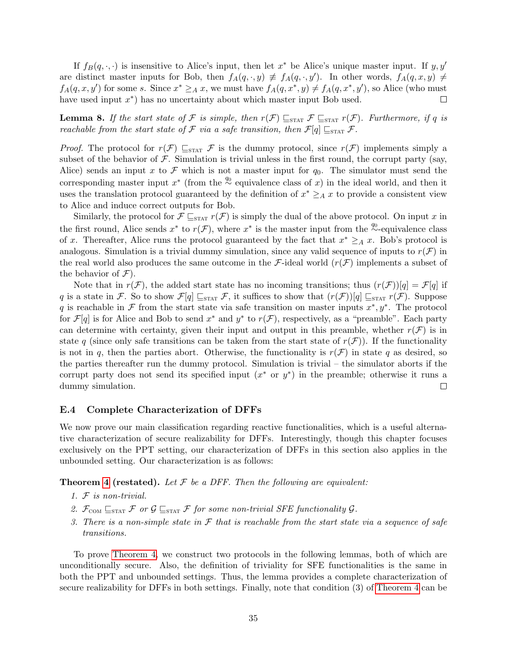If  $f_B(q, \cdot, \cdot)$  is insensitive to Alice's input, then let  $x^*$  be Alice's unique master input. If  $y, y'$ are distinct master inputs for Bob, then  $f_A(q, \cdot, y) \neq f_A(q, \cdot, y')$ . In other words,  $f_A(q, x, y) \neq$  $f_A(q, x, y')$  for some s. Since  $x^* \geq_A x$ , we must have  $f_A(q, x^*, y) \neq f_A(q, x^*, y')$ , so Alice (who must have used input  $x^*$ ) has no uncertainty about which master input Bob used. П

<span id="page-35-0"></span>**Lemma 8.** If the start state of F is simple, then  $r(\mathcal{F}) \sqsubseteq_{\text{STAT}} \mathcal{F} \sqsubseteq_{\text{STAT}} r(\mathcal{F})$ . Furthermore, if q is reachable from the start state of F via a safe transition, then  $\mathcal{F}[q] \sqsubseteq_{\text{STAT}} \mathcal{F}$ .

*Proof.* The protocol for  $r(\mathcal{F}) \subseteq_{\text{STAT}} \mathcal{F}$  is the dummy protocol, since  $r(\mathcal{F})$  implements simply a subset of the behavior of  $\mathcal F$ . Simulation is trivial unless in the first round, the corrupt party (say, Alice) sends an input x to  $\mathcal F$  which is not a master input for  $q_0$ . The simulator must send the corresponding master input  $x^*$  (from the <sup> $q_0^0$ </sup> equivalence class of x) in the ideal world, and then it uses the translation protocol guaranteed by the definition of  $x^* \geq_A x$  to provide a consistent view to Alice and induce correct outputs for Bob.

Similarly, the protocol for  $\mathcal{F} \subseteq_{\text{STAT}} r(\mathcal{F})$  is simply the dual of the above protocol. On input x in the first round, Alice sends  $x^*$  to  $r(\mathcal{F})$ , where  $x^*$  is the master input from the  $\overset{q_0}{\sim}$ -equivalence class of x. Thereafter, Alice runs the protocol guaranteed by the fact that  $x^* \geq_A x$ . Bob's protocol is analogous. Simulation is a trivial dummy simulation, since any valid sequence of inputs to  $r(\mathcal{F})$  in the real world also produces the same outcome in the F-ideal world  $(r(\mathcal{F}))$  implements a subset of the behavior of  $\mathcal{F}$ ).

Note that in  $r(\mathcal{F})$ , the added start state has no incoming transitions; thus  $(r(\mathcal{F}))[q] = \mathcal{F}[q]$  if q is a state in F. So to show  $\mathcal{F}[q] \sqsubseteq_{\text{STAT}} \mathcal{F}$ , it suffices to show that  $(r(\mathcal{F}))[q] \sqsubseteq_{\text{STAT}} r(\mathcal{F})$ . Suppose q is reachable in  $\mathcal F$  from the start state via safe transition on master inputs  $x^*, y^*$ . The protocol for  $\mathcal{F}[q]$  is for Alice and Bob to send  $x^*$  and  $y^*$  to  $r(\mathcal{F})$ , respectively, as a "preamble". Each party can determine with certainty, given their input and output in this preamble, whether  $r(\mathcal{F})$  is in state q (since only safe transitions can be taken from the start state of  $r(\mathcal{F})$ ). If the functionality is not in q, then the parties abort. Otherwise, the functionality is  $r(\mathcal{F})$  in state q as desired, so the parties thereafter run the dummy protocol. Simulation is trivial – the simulator aborts if the corrupt party does not send its specified input  $(x^*$  or  $y^*$ ) in the preamble; otherwise it runs a dummy simulation.  $\Box$ 

### E.4 Complete Characterization of DFFs

We now prove our main classification regarding reactive functionalities, which is a useful alternative characterization of secure realizability for DFFs. Interestingly, though this chapter focuses exclusively on the PPT setting, our characterization of DFFs in this section also applies in the unbounded setting. Our characterization is as follows:

**Theorem [4](#page-10-0) (restated).** Let  $\mathcal F$  be a DFF. Then the following are equivalent:

- 1. F is non-trivial.
- 2.  $\mathcal{F}_{COM} \sqsubseteq_{STAT} \mathcal{F}$  or  $\mathcal{G} \sqsubseteq_{STAT} \mathcal{F}$  for some non-trivial SFE functionality  $\mathcal{G}$ .
- 3. There is a non-simple state in  $\mathcal F$  that is reachable from the start state via a sequence of safe transitions.

To prove [Theorem 4,](#page-10-0) we construct two protocols in the following lemmas, both of which are unconditionally secure. Also, the definition of triviality for SFE functionalities is the same in both the PPT and unbounded settings. Thus, the lemma provides a complete characterization of secure realizability for DFFs in both settings. Finally, note that condition (3) of [Theorem 4](#page-10-0) can be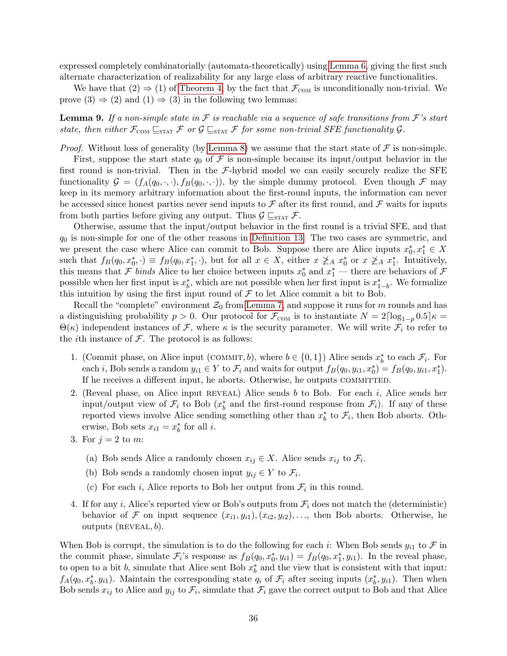expressed completely combinatorially (automata-theoretically) using [Lemma 6,](#page-32-1) giving the first such alternate characterization of realizability for any large class of arbitrary reactive functionalities.

We have that  $(2) \Rightarrow (1)$  of [Theorem 4,](#page-10-0) by the fact that  $\mathcal{F}_{COM}$  is unconditionally non-trivial. We prove  $(3) \Rightarrow (2)$  and  $(1) \Rightarrow (3)$  in the following two lemmas:

<span id="page-36-0"></span>**Lemma 9.** If a non-simple state in  $\mathcal F$  is reachable via a sequence of safe transitions from  $\mathcal F$ 's start state, then either  $\mathcal{F}_{COM} \subseteq_{STAT} \mathcal{F}$  or  $\mathcal{G} \subseteq_{STAT} \mathcal{F}$  for some non-trivial SFE functionality  $\mathcal{G}$ .

*Proof.* Without loss of generality (by [Lemma 8\)](#page-35-0) we assume that the start state of  $\mathcal F$  is non-simple.

First, suppose the start state  $q_0$  of F is non-simple because its input/output behavior in the first round is non-trivial. Then in the  $\mathcal{F}\text{-hybrid model we can easily securely realize the SFE}$ functionality  $\mathcal{G} = (f_A(q_0, \cdot, \cdot), f_B(q_0, \cdot, \cdot))$ , by the simple dummy protocol. Even though  $\mathcal{F}$  may keep in its memory arbitrary information about the first-round inputs, the information can never be accessed since honest parties never send inputs to  $\mathcal F$  after its first round, and  $\mathcal F$  waits for inputs from both parties before giving any output. Thus  $\mathcal{G} \sqsubseteq_{\text{STAT}} \mathcal{F}$ .

Otherwise, assume that the input/output behavior in the first round is a trivial SFE, and that  $q_0$  is non-simple for one of the other reasons in [Definition 13.](#page-34-0) The two cases are symmetric, and we present the case where Alice can commit to Bob. Suppose there are Alice inputs  $x_0^*, x_1^* \in X$ such that  $f_B(q_0, x_0^*, \cdot) \equiv f_B(q_0, x_1^*, \cdot)$ , but for all  $x \in X$ , either  $x \not\geq_A x_0^*$  or  $x \not\geq_A x_1^*$ . Intuitively, this means that  $\mathcal F$  binds Alice to her choice between inputs  $x_0^*$  and  $x_1^*$  — there are behaviors of  $\mathcal F$ possible when her first input is  $x_b^*$ , which are not possible when her first input is  $x_{1-b}^*$ . We formalize this intuition by using the first input round of  $\mathcal F$  to let Alice commit a bit to Bob.

Recall the "complete" environment  $\mathcal{Z}_0$  from [Lemma 7,](#page-34-2) and suppose it runs for m rounds and has a distinguishing probability  $p > 0$ . Our protocol for  $\mathcal{F}_{COM}$  is to instantiate  $N = 2\lceil \log_{1-p} 0.5 \rceil \kappa =$  $\Theta(\kappa)$  independent instances of F, where  $\kappa$  is the security parameter. We will write  $\mathcal{F}_i$  to refer to the *i*th instance of  $\mathcal{F}$ . The protocol is as follows:

- 1. (Commit phase, on Alice input (COMMIT, b), where  $b \in \{0, 1\}$ ) Alice sends  $x_b^*$  to each  $\mathcal{F}_i$ . For each *i*, Bob sends a random  $y_{i1} \in Y$  to  $\mathcal{F}_i$  and waits for output  $f_B(q_0, y_{i1}, x_0^*) = f_B(q_0, y_{i1}, x_1^*)$ . If he receives a different input, he aborts. Otherwise, he outputs COMMITTED.
- 2. (Reveal phase, on Alice input  $REVEAL$ ) Alice sends b to Bob. For each i, Alice sends her input/output view of  $\mathcal{F}_i$  to Bob  $(x_b^*$  and the first-round response from  $\mathcal{F}_i$ ). If any of these reported views involve Alice sending something other than  $x_b^*$  to  $\mathcal{F}_i$ , then Bob aborts. Otherwise, Bob sets  $x_{i1} = x_b^*$  for all *i*.
- 3. For  $i = 2$  to m:
	- (a) Bob sends Alice a randomly chosen  $x_{ij} \in X$ . Alice sends  $x_{ij}$  to  $\mathcal{F}_i$ .
	- (b) Bob sends a randomly chosen input  $y_{ij} \in Y$  to  $\mathcal{F}_i$ .
	- (c) For each *i*, Alice reports to Bob her output from  $\mathcal{F}_i$  in this round.
- 4. If for any i, Alice's reported view or Bob's outputs from  $\mathcal{F}_i$  does not match the (deterministic) behavior of F on input sequence  $(x_{i1}, y_{i1}), (x_{i2}, y_{i2}), \ldots$ , then Bob aborts. Otherwise, he outputs  $(REVEAL, b)$ .

When Bob is corrupt, the simulation is to do the following for each i: When Bob sends  $y_{i1}$  to  $\mathcal F$  in the commit phase, simulate  $\mathcal{F}_i$ 's response as  $f_B(q_0, x_0^*, y_{i1}) = f_B(q_0, x_1^*, y_{i1})$ . In the reveal phase, to open to a bit b, simulate that Alice sent Bob  $x_b^*$  and the view that is consistent with that input:  $f_A(q_0, x_b^*, y_{i1})$ . Maintain the corresponding state  $q_i$  of  $\mathcal{F}_i$  after seeing inputs  $(x_b^*, y_{i1})$ . Then when Bob sends  $x_{ij}$  to Alice and  $y_{ij}$  to  $\mathcal{F}_i$ , simulate that  $\mathcal{F}_i$  gave the correct output to Bob and that Alice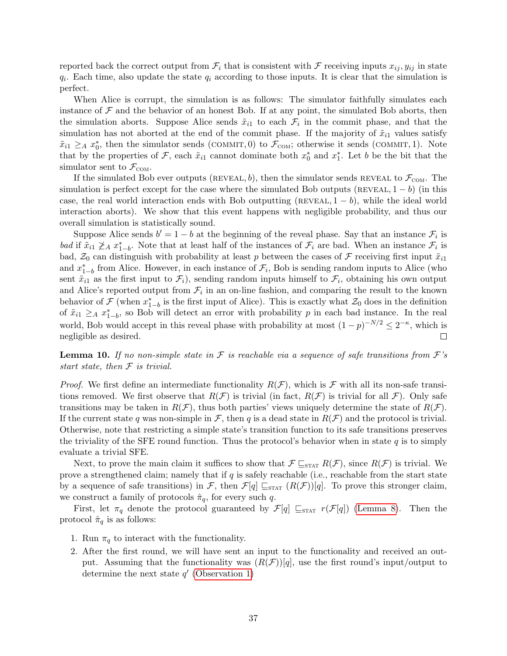reported back the correct output from  $\mathcal{F}_i$  that is consistent with  $\mathcal F$  receiving inputs  $x_{ij}$ ,  $y_{ij}$  in state  $q_i$ . Each time, also update the state  $q_i$  according to those inputs. It is clear that the simulation is perfect.

When Alice is corrupt, the simulation is as follows: The simulator faithfully simulates each instance of  $\mathcal F$  and the behavior of an honest Bob. If at any point, the simulated Bob aborts, then the simulation aborts. Suppose Alice sends  $\tilde{x}_{i1}$  to each  $\mathcal{F}_i$  in the commit phase, and that the simulation has not aborted at the end of the commit phase. If the majority of  $\tilde{x}_{i1}$  values satisfy  $\tilde{x}_{i1} \geq_A x_0^*$ , then the simulator sends (COMMIT, 0) to  $\mathcal{F}_{COM}$ ; otherwise it sends (COMMIT, 1). Note that by the properties of F, each  $\tilde{x}_{i1}$  cannot dominate both  $x_0^*$  and  $x_1^*$ . Let b be the bit that the simulator sent to  $\mathcal{F}_{COM}$ .

If the simulated Bob ever outputs (REVEAL, b), then the simulator sends REVEAL to  $\mathcal{F}_{COM}$ . The simulation is perfect except for the case where the simulated Bob outputs (REVEAL,  $1 - b$ ) (in this case, the real world interaction ends with Bob outputting (REVEAL,  $1 - b$ ), while the ideal world interaction aborts). We show that this event happens with negligible probability, and thus our overall simulation is statistically sound.

Suppose Alice sends  $b' = 1 - b$  at the beginning of the reveal phase. Say that an instance  $\mathcal{F}_i$  is bad if  $\tilde{x}_{i1} \not\geq_A x_{1-b}^*$ . Note that at least half of the instances of  $\mathcal{F}_i$  are bad. When an instance  $\mathcal{F}_i$  is bad,  $\mathcal{Z}_0$  can distinguish with probability at least p between the cases of F receiving first input  $\tilde{x}_{i1}$ and  $x_{1-b}^*$  from Alice. However, in each instance of  $\mathcal{F}_i$ , Bob is sending random inputs to Alice (who sent  $\tilde{x}_{i1}$  as the first input to  $\mathcal{F}_i$ , sending random inputs himself to  $\mathcal{F}_i$ , obtaining his own output and Alice's reported output from  $\mathcal{F}_i$  in an on-line fashion, and comparing the result to the known behavior of  $\mathcal F$  (when  $x_{1-b}^*$  is the first input of Alice). This is exactly what  $\mathcal Z_0$  does in the definition of  $\tilde{x}_{i1} \geq_A x_{1-b}^*$ , so Bob will detect an error with probability p in each bad instance. In the real world, Bob would accept in this reveal phase with probability at most  $(1-p)^{-N/2} \leq 2^{-\kappa}$ , which is negligible as desired.  $\Box$ 

<span id="page-37-0"></span>**Lemma 10.** If no non-simple state in  $\mathcal F$  is reachable via a sequence of safe transitions from  $\mathcal F$ 's start state, then  $F$  is trivial.

*Proof.* We first define an intermediate functionality  $R(F)$ , which is F with all its non-safe transitions removed. We first observe that  $R(\mathcal{F})$  is trivial (in fact,  $R(\mathcal{F})$  is trivial for all  $\mathcal{F}$ ). Only safe transitions may be taken in  $R(\mathcal{F})$ , thus both parties' views uniquely determine the state of  $R(\mathcal{F})$ . If the current state q was non-simple in F, then q is a dead state in  $R(\mathcal{F})$  and the protocol is trivial. Otherwise, note that restricting a simple state's transition function to its safe transitions preserves the triviality of the SFE round function. Thus the protocol's behavior when in state  $q$  is to simply evaluate a trivial SFE.

Next, to prove the main claim it suffices to show that  $\mathcal{F} \subseteq_{\text{STAT}} R(\mathcal{F})$ , since  $R(\mathcal{F})$  is trivial. We prove a strengthened claim; namely that if  $q$  is safely reachable (i.e., reachable from the start state by a sequence of safe transitions) in F, then  $\mathcal{F}[q] \sqsubseteq_{\text{STAT}} (R(\mathcal{F}))[q]$ . To prove this stronger claim, we construct a family of protocols  $\hat{\pi}_q$ , for every such q.

First, let  $\pi_q$  denote the protocol guaranteed by  $\mathcal{F}[q] \sqsubseteq_{\text{STAT}} r(\mathcal{F}[q])$  [\(Lemma 8\)](#page-35-0). Then the protocol  $\hat{\pi}_q$  is as follows:

- 1. Run  $\pi_q$  to interact with the functionality.
- 2. After the first round, we will have sent an input to the functionality and received an output. Assuming that the functionality was  $(R(\mathcal{F}))[q]$ , use the first round's input/output to determine the next state  $q'$  [\(Observation 1\)](#page-34-3)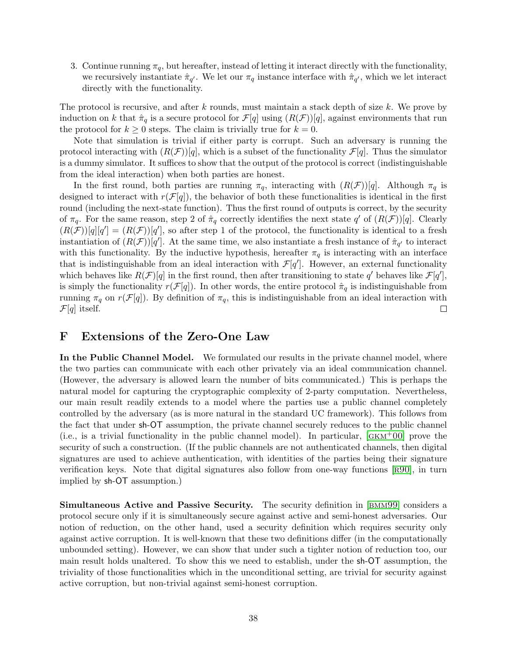3. Continue running  $\pi_q$ , but hereafter, instead of letting it interact directly with the functionality, we recursively instantiate  $\hat{\pi}_{q'}$ . We let our  $\pi_q$  instance interface with  $\hat{\pi}_{q'}$ , which we let interact directly with the functionality.

The protocol is recursive, and after  $k$  rounds, must maintain a stack depth of size  $k$ . We prove by induction on k that  $\hat{\pi}_q$  is a secure protocol for  $\mathcal{F}[q]$  using  $(R(\mathcal{F}))[q]$ , against environments that run the protocol for  $k \geq 0$  steps. The claim is trivially true for  $k = 0$ .

Note that simulation is trivial if either party is corrupt. Such an adversary is running the protocol interacting with  $(R(\mathcal{F}))[q]$ , which is a subset of the functionality  $\mathcal{F}[q]$ . Thus the simulator is a dummy simulator. It suffices to show that the output of the protocol is correct (indistinguishable from the ideal interaction) when both parties are honest.

In the first round, both parties are running  $\pi_q$ , interacting with  $(R(\mathcal{F}))[q]$ . Although  $\pi_q$  is designed to interact with  $r(\mathcal{F}[q])$ , the behavior of both these functionalities is identical in the first round (including the next-state function). Thus the first round of outputs is correct, by the security of  $\pi_q$ . For the same reason, step 2 of  $\hat{\pi}_q$  correctly identifies the next state q' of  $(R(\mathcal{F}))[q]$ . Clearly  $(R(\mathcal{F}))[q][q'] = (R(\mathcal{F}))[q']$ , so after step 1 of the protocol, the functionality is identical to a fresh instantiation of  $(R(\mathcal{F}))[q']$ . At the same time, we also instantiate a fresh instance of  $\hat{\pi}_{q'}$  to interact with this functionality. By the inductive hypothesis, hereafter  $\pi_q$  is interacting with an interface that is indistinguishable from an ideal interaction with  $\mathcal{F}[q']$ . However, an external functionality which behaves like  $R(\mathcal{F})[q]$  in the first round, then after transitioning to state q' behaves like  $\mathcal{F}[q']$ , is simply the functionality  $r(\mathcal{F}[q])$ . In other words, the entire protocol  $\hat{\pi}_q$  is indistinguishable from running  $\pi_q$  on  $r(\mathcal{F}[q])$ . By definition of  $\pi_q$ , this is indistinguishable from an ideal interaction with  $\mathcal{F}[q]$  itself.  $\Box$ 

# <span id="page-38-0"></span>F Extensions of the Zero-One Law

In the Public Channel Model. We formulated our results in the private channel model, where the two parties can communicate with each other privately via an ideal communication channel. (However, the adversary is allowed learn the number of bits communicated.) This is perhaps the natural model for capturing the cryptographic complexity of 2-party computation. Nevertheless, our main result readily extends to a model where the parties use a public channel completely controlled by the adversary (as is more natural in the standard UC framework). This follows from the fact that under sh-OT assumption, the private channel securely reduces to the public channel (i.e., is a trivial functionality in the public channel model). In particular,  $[GKM^+00]$  prove the security of such a construction. (If the public channels are not authenticated channels, then digital signatures are used to achieve authentication, with identities of the parties being their signature verification keys. Note that digital signatures also follow from one-way functions  $\lceil R90 \rceil$ , in turn implied by sh-OT assumption.)

Simultaneous Active and Passive Security. The security definition in [[bmm99](#page-13-4)] considers a protocol secure only if it is simultaneously secure against active and semi-honest adversaries. Our notion of reduction, on the other hand, used a security definition which requires security only against active corruption. It is well-known that these two definitions differ (in the computationally unbounded setting). However, we can show that under such a tighter notion of reduction too, our main result holds unaltered. To show this we need to establish, under the sh-OT assumption, the triviality of those functionalities which in the unconditional setting, are trivial for security against active corruption, but non-trivial against semi-honest corruption.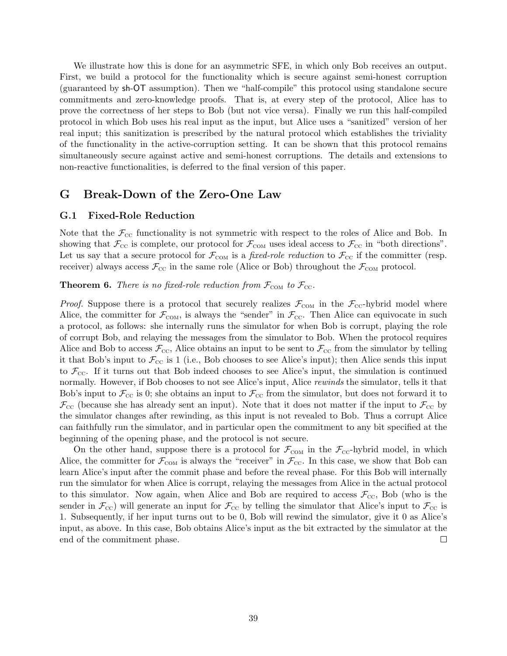We illustrate how this is done for an asymmetric SFE, in which only Bob receives an output. First, we build a protocol for the functionality which is secure against semi-honest corruption (guaranteed by sh-OT assumption). Then we "half-compile" this protocol using standalone secure commitments and zero-knowledge proofs. That is, at every step of the protocol, Alice has to prove the correctness of her steps to Bob (but not vice versa). Finally we run this half-compiled protocol in which Bob uses his real input as the input, but Alice uses a "sanitized" version of her real input; this sanitization is prescribed by the natural protocol which establishes the triviality of the functionality in the active-corruption setting. It can be shown that this protocol remains simultaneously secure against active and semi-honest corruptions. The details and extensions to non-reactive functionalities, is deferred to the final version of this paper.

## G Break-Down of the Zero-One Law

### <span id="page-39-0"></span>G.1 Fixed-Role Reduction

Note that the  $\mathcal{F}_{\text{CC}}$  functionality is not symmetric with respect to the roles of Alice and Bob. In showing that  $\mathcal{F}_{\text{cc}}$  is complete, our protocol for  $\mathcal{F}_{\text{COM}}$  uses ideal access to  $\mathcal{F}_{\text{cc}}$  in "both directions". Let us say that a secure protocol for  $\mathcal{F}_{COM}$  is a *fixed-role reduction* to  $\mathcal{F}_{CC}$  if the committer (resp. receiver) always access  $\mathcal{F}_{\text{cc}}$  in the same role (Alice or Bob) throughout the  $\mathcal{F}_{\text{COM}}$  protocol.

**Theorem 6.** There is no fixed-role reduction from  $\mathcal{F}_{COM}$  to  $\mathcal{F}_{CC}$ .

*Proof.* Suppose there is a protocol that securely realizes  $\mathcal{F}_{COM}$  in the  $\mathcal{F}_{CC}$ -hybrid model where Alice, the committer for  $\mathcal{F}_{COM}$ , is always the "sender" in  $\mathcal{F}_{CC}$ . Then Alice can equivocate in such a protocol, as follows: she internally runs the simulator for when Bob is corrupt, playing the role of corrupt Bob, and relaying the messages from the simulator to Bob. When the protocol requires Alice and Bob to access  $\mathcal{F}_{\text{cc}}$ , Alice obtains an input to be sent to  $\mathcal{F}_{\text{cc}}$  from the simulator by telling it that Bob's input to  $\mathcal{F}_{\text{cc}}$  is 1 (i.e., Bob chooses to see Alice's input); then Alice sends this input to  $\mathcal{F}_{\text{cc}}$ . If it turns out that Bob indeed chooses to see Alice's input, the simulation is continued normally. However, if Bob chooses to not see Alice's input, Alice *rewinds* the simulator, tells it that Bob's input to  $\mathcal{F}_{\text{CC}}$  is 0; she obtains an input to  $\mathcal{F}_{\text{CC}}$  from the simulator, but does not forward it to  $\mathcal{F}_{\text{CC}}$  (because she has already sent an input). Note that it does not matter if the input to  $\mathcal{F}_{\text{CC}}$  by the simulator changes after rewinding, as this input is not revealed to Bob. Thus a corrupt Alice can faithfully run the simulator, and in particular open the commitment to any bit specified at the beginning of the opening phase, and the protocol is not secure.

On the other hand, suppose there is a protocol for  $\mathcal{F}_{COM}$  in the  $\mathcal{F}_{CC}$ -hybrid model, in which Alice, the committer for  $\mathcal{F}_{COM}$  is always the "receiver" in  $\mathcal{F}_{CC}$ . In this case, we show that Bob can learn Alice's input after the commit phase and before the reveal phase. For this Bob will internally run the simulator for when Alice is corrupt, relaying the messages from Alice in the actual protocol to this simulator. Now again, when Alice and Bob are required to access  $\mathcal{F}_{\scriptscriptstyle{\text{CC}}}$ , Bob (who is the sender in  $\mathcal{F}_{\text{cc}}$ ) will generate an input for  $\mathcal{F}_{\text{cc}}$  by telling the simulator that Alice's input to  $\mathcal{F}_{\text{cc}}$  is 1. Subsequently, if her input turns out to be 0, Bob will rewind the simulator, give it 0 as Alice's input, as above. In this case, Bob obtains Alice's input as the bit extracted by the simulator at the end of the commitment phase.  $\Box$